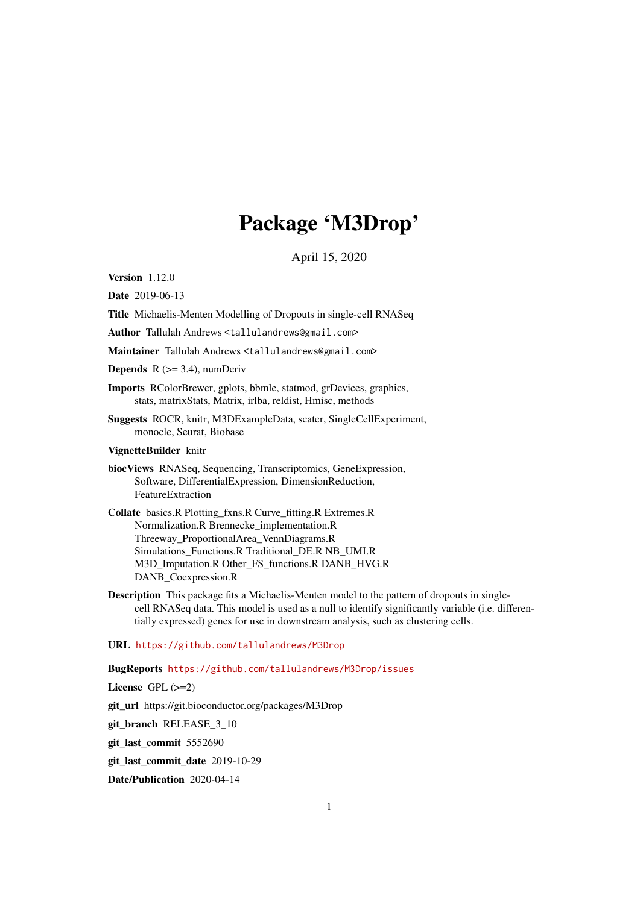# Package 'M3Drop'

April 15, 2020

Version 1.12.0

Date 2019-06-13

Title Michaelis-Menten Modelling of Dropouts in single-cell RNASeq

Author Tallulah Andrews <tallulandrews@gmail.com>

Maintainer Tallulah Andrews <tallulandrews@gmail.com>

**Depends**  $R$  ( $>=$  3.4), numDeriv

- Imports RColorBrewer, gplots, bbmle, statmod, grDevices, graphics, stats, matrixStats, Matrix, irlba, reldist, Hmisc, methods
- Suggests ROCR, knitr, M3DExampleData, scater, SingleCellExperiment, monocle, Seurat, Biobase

### VignetteBuilder knitr

- biocViews RNASeq, Sequencing, Transcriptomics, GeneExpression, Software, DifferentialExpression, DimensionReduction, FeatureExtraction
- Collate basics.R Plotting\_fxns.R Curve\_fitting.R Extremes.R Normalization.R Brennecke\_implementation.R Threeway\_ProportionalArea\_VennDiagrams.R Simulations\_Functions.R Traditional\_DE.R NB\_UMI.R M3D\_Imputation.R Other\_FS\_functions.R DANB\_HVG.R DANB\_Coexpression.R
- Description This package fits a Michaelis-Menten model to the pattern of dropouts in singlecell RNASeq data. This model is used as a null to identify significantly variable (i.e. differentially expressed) genes for use in downstream analysis, such as clustering cells.

### URL <https://github.com/tallulandrews/M3Drop>

#### BugReports <https://github.com/tallulandrews/M3Drop/issues>

License GPL (>=2)

git\_url https://git.bioconductor.org/packages/M3Drop

git\_branch RELEASE\_3\_10

git\_last\_commit 5552690

git\_last\_commit\_date 2019-10-29

Date/Publication 2020-04-14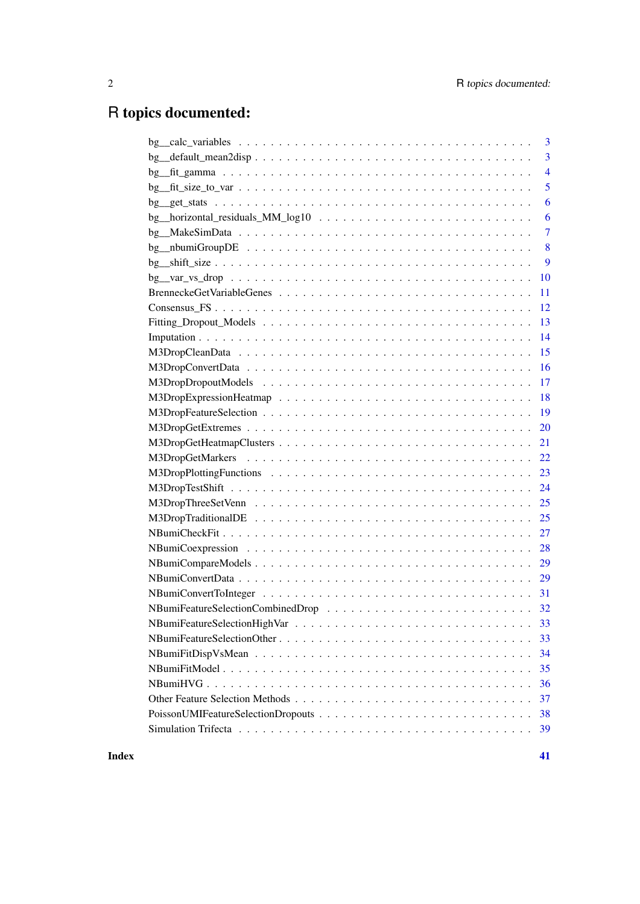# R topics documented:

| 3                    |
|----------------------|
| 3<br>bg              |
| $\overline{4}$<br>bg |
| 5                    |
| 6                    |
| bg<br>6              |
| $\overline{7}$       |
| 8                    |
| 9                    |
| 10                   |
| 11                   |
| 12                   |
| 13                   |
| 14                   |
| 15                   |
| 16                   |
| 17                   |
| 18                   |
| 19                   |
| 20                   |
| 21                   |
| 22                   |
| 23                   |
| 24                   |
| 25                   |
| 25                   |
| 27                   |
| 28                   |
| 29                   |
| 29                   |
| 31                   |
|                      |
| 33                   |
| 33                   |
| 34                   |
| 35                   |
| 36                   |
| 37                   |
| 38                   |
| 39                   |
|                      |

**Index** [41](#page-40-0)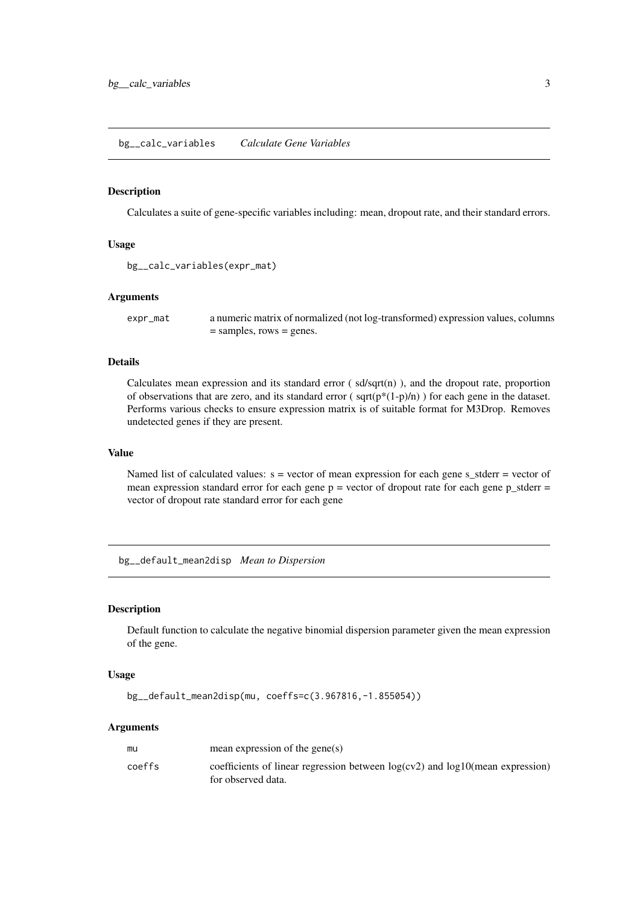<span id="page-2-0"></span>bg\_\_calc\_variables *Calculate Gene Variables*

#### Description

Calculates a suite of gene-specific variables including: mean, dropout rate, and their standard errors.

### Usage

```
bg__calc_variables(expr_mat)
```
#### Arguments

expr\_mat a numeric matrix of normalized (not log-transformed) expression values, columns = samples, rows = genes.

### Details

Calculates mean expression and its standard error  $\left( \frac{\text{sd}}{\text{sqrt}} \right)$ , and the dropout rate, proportion of observations that are zero, and its standard error ( $sqrt(P*(1-p)/n)$ ) for each gene in the dataset. Performs various checks to ensure expression matrix is of suitable format for M3Drop. Removes undetected genes if they are present.

### Value

Named list of calculated values:  $s =$  vector of mean expression for each gene s\_stderr = vector of mean expression standard error for each gene  $p =$  vector of dropout rate for each gene  $p$ \_stderr = vector of dropout rate standard error for each gene

bg\_\_default\_mean2disp *Mean to Dispersion*

### Description

Default function to calculate the negative binomial dispersion parameter given the mean expression of the gene.

### Usage

bg\_\_default\_mean2disp(mu, coeffs=c(3.967816,-1.855054))

| mu     | mean expression of the gene(s)                                                                           |
|--------|----------------------------------------------------------------------------------------------------------|
| coeffs | coefficients of linear regression between $log(cv2)$ and $log10$ (mean expression)<br>for observed data. |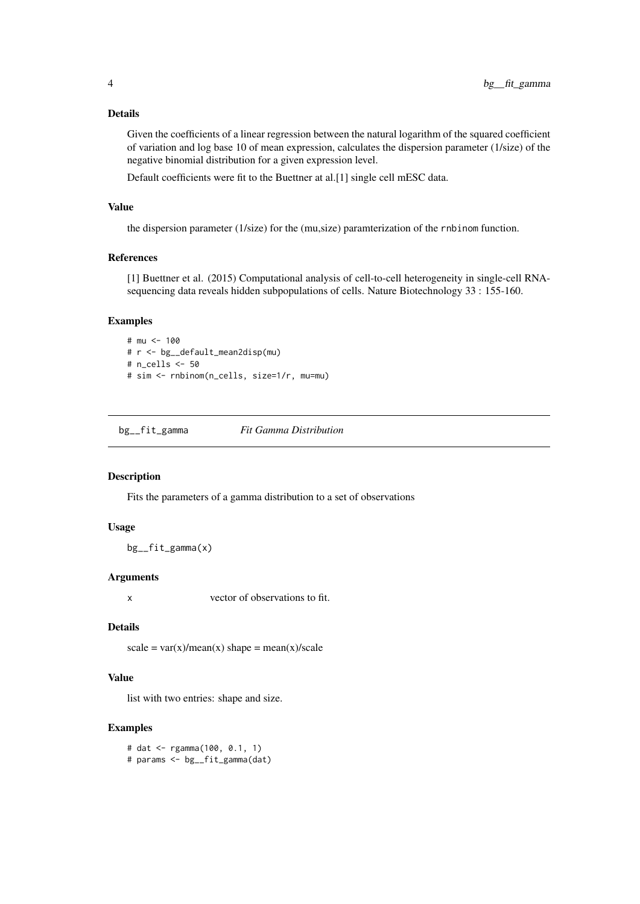<span id="page-3-0"></span>Given the coefficients of a linear regression between the natural logarithm of the squared coefficient of variation and log base 10 of mean expression, calculates the dispersion parameter (1/size) of the negative binomial distribution for a given expression level.

Default coefficients were fit to the Buettner at al.[1] single cell mESC data.

### Value

the dispersion parameter (1/size) for the (mu,size) paramterization of the rnbinom function.

### References

[1] Buettner et al. (2015) Computational analysis of cell-to-cell heterogeneity in single-cell RNAsequencing data reveals hidden subpopulations of cells. Nature Biotechnology 33 : 155-160.

### Examples

```
# mu <- 100
# r <- bg__default_mean2disp(mu)
# n_cells <- 50
# sim <- rnbinom(n_cells, size=1/r, mu=mu)
```
bg\_\_fit\_gamma *Fit Gamma Distribution*

### Description

Fits the parameters of a gamma distribution to a set of observations

#### Usage

bg\_\_fit\_gamma(x)

#### Arguments

x vector of observations to fit.

### Details

 $scale = var(x)/mean(x) shape = mean(x)/scale$ 

### Value

list with two entries: shape and size.

### Examples

# dat <- rgamma(100, 0.1, 1) # params <- bg\_\_fit\_gamma(dat)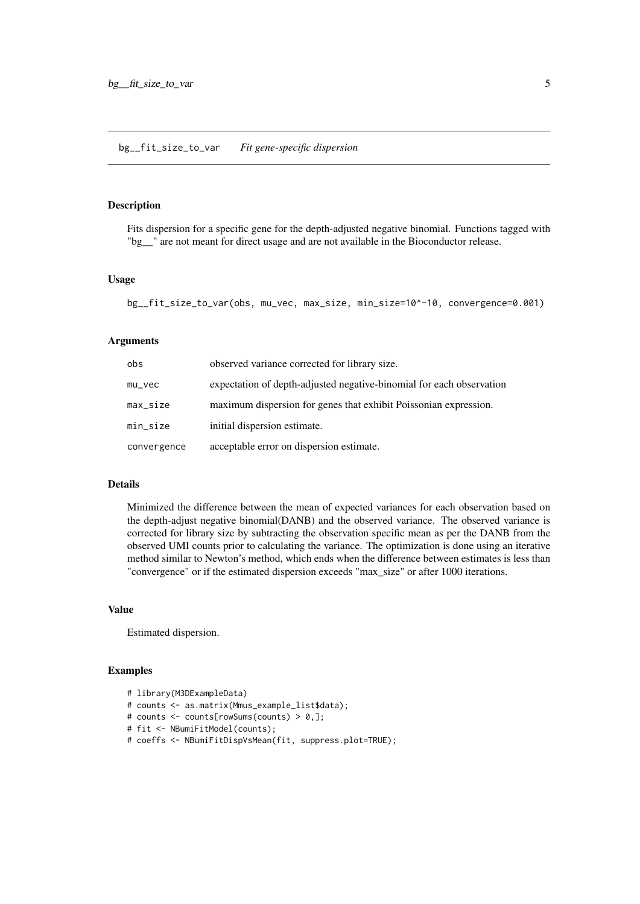### <span id="page-4-0"></span>Description

Fits dispersion for a specific gene for the depth-adjusted negative binomial. Functions tagged with "bg\_\_" are not meant for direct usage and are not available in the Bioconductor release.

### Usage

bg\_\_fit\_size\_to\_var(obs, mu\_vec, max\_size, min\_size=10^-10, convergence=0.001)

### Arguments

| obs         | observed variance corrected for library size.                        |
|-------------|----------------------------------------------------------------------|
| $mu\_vec$   | expectation of depth-adjusted negative-binomial for each observation |
| max_size    | maximum dispersion for genes that exhibit Poissonian expression.     |
| min_size    | initial dispersion estimate.                                         |
| convergence | acceptable error on dispersion estimate.                             |

#### Details

Minimized the difference between the mean of expected variances for each observation based on the depth-adjust negative binomial(DANB) and the observed variance. The observed variance is corrected for library size by subtracting the observation specific mean as per the DANB from the observed UMI counts prior to calculating the variance. The optimization is done using an iterative method similar to Newton's method, which ends when the difference between estimates is less than "convergence" or if the estimated dispersion exceeds "max\_size" or after 1000 iterations.

### Value

Estimated dispersion.

```
# library(M3DExampleData)
# counts <- as.matrix(Mmus_example_list$data);
# counts <- counts[rowSums(counts) > 0,];
# fit <- NBumiFitModel(counts);
# coeffs <- NBumiFitDispVsMean(fit, suppress.plot=TRUE);
```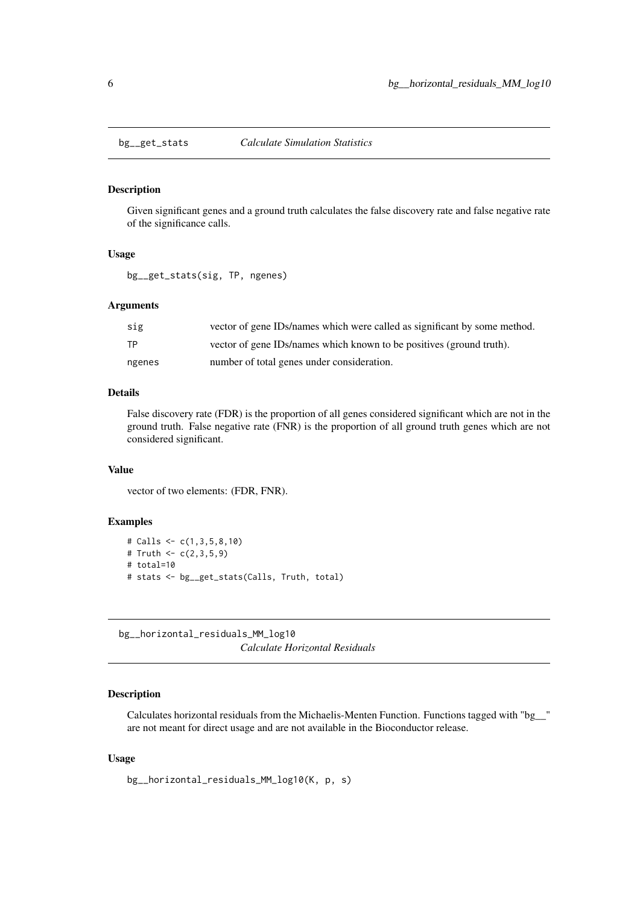<span id="page-5-0"></span>

#### Description

Given significant genes and a ground truth calculates the false discovery rate and false negative rate of the significance calls.

### Usage

bg\_\_get\_stats(sig, TP, ngenes)

### Arguments

| sig    | vector of gene IDs/names which were called as significant by some method. |
|--------|---------------------------------------------------------------------------|
| ТP     | vector of gene IDs/names which known to be positives (ground truth).      |
| ngenes | number of total genes under consideration.                                |

### Details

False discovery rate (FDR) is the proportion of all genes considered significant which are not in the ground truth. False negative rate (FNR) is the proportion of all ground truth genes which are not considered significant.

#### Value

vector of two elements: (FDR, FNR).

### Examples

```
# Calls <- c(1,3,5,8,10)
# Truth <- c(2,3,5,9)# total=10
# stats <- bg__get_stats(Calls, Truth, total)
```
bg\_\_horizontal\_residuals\_MM\_log10 *Calculate Horizontal Residuals*

### Description

Calculates horizontal residuals from the Michaelis-Menten Function. Functions tagged with "bg\_\_" are not meant for direct usage and are not available in the Bioconductor release.

### Usage

```
bg__horizontal_residuals_MM_log10(K, p, s)
```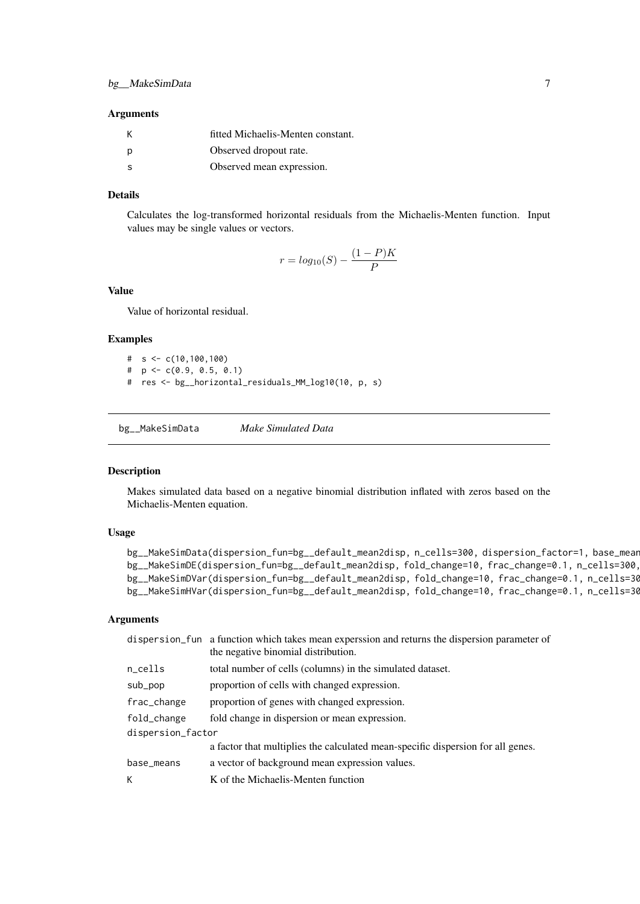#### <span id="page-6-0"></span>Arguments

|     | fitted Michaelis-Menten constant. |
|-----|-----------------------------------|
| - p | Observed dropout rate.            |
| - S | Observed mean expression.         |

### Details

Calculates the log-transformed horizontal residuals from the Michaelis-Menten function. Input values may be single values or vectors.

$$
r = log10(S) - \frac{(1 - P)K}{P}
$$

#### Value

Value of horizontal residual.

#### Examples

# s <- c(10,100,100) #  $p \leftarrow c(0.9, 0.5, 0.1)$ # res <- bg\_\_horizontal\_residuals\_MM\_log10(10, p, s)

bg\_\_MakeSimData *Make Simulated Data*

#### Description

Makes simulated data based on a negative binomial distribution inflated with zeros based on the Michaelis-Menten equation.

#### Usage

```
bg__MakeSimData(dispersion_fun=bg__default_mean2disp, n_cells=300, dispersion_factor=1, base_mean
bg__MakeSimDE(dispersion_fun=bg__default_mean2disp, fold_change=10, frac_change=0.1, n_cells=300,
bg__MakeSimDVar(dispersion_fun=bg__default_mean2disp, fold_change=10, frac_change=0.1, n_cells=30
bg__MakeSimHVar(dispersion_fun=bg__default_mean2disp, fold_change=10, frac_change=0.1, n_cells=30
```

|                   | dispersion_fun a function which takes mean expersion and returns the dispersion parameter of<br>the negative binomial distribution. |  |
|-------------------|-------------------------------------------------------------------------------------------------------------------------------------|--|
| n_cells           | total number of cells (columns) in the simulated dataset.                                                                           |  |
| sub_pop           | proportion of cells with changed expression.                                                                                        |  |
| frac_change       | proportion of genes with changed expression.                                                                                        |  |
| fold_change       | fold change in dispersion or mean expression.                                                                                       |  |
| dispersion_factor |                                                                                                                                     |  |
|                   | a factor that multiplies the calculated mean-specific dispersion for all genes.                                                     |  |
| base_means        | a vector of background mean expression values.                                                                                      |  |
| К                 | K of the Michaelis-Menten function                                                                                                  |  |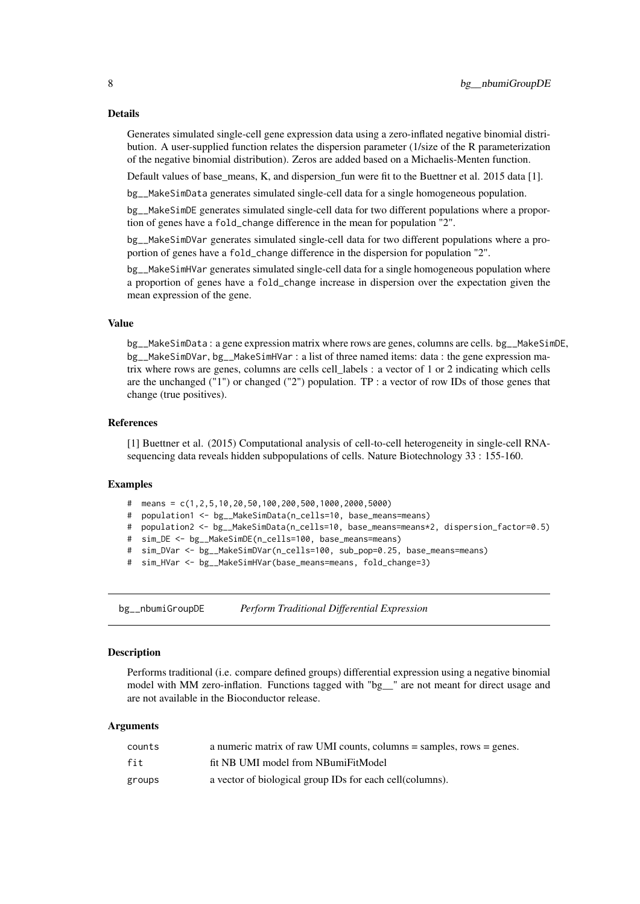Generates simulated single-cell gene expression data using a zero-inflated negative binomial distribution. A user-supplied function relates the dispersion parameter (1/size of the R parameterization of the negative binomial distribution). Zeros are added based on a Michaelis-Menten function.

Default values of base\_means, K, and dispersion\_fun were fit to the Buettner et al. 2015 data [1].

bg\_\_MakeSimData generates simulated single-cell data for a single homogeneous population.

bg\_\_MakeSimDE generates simulated single-cell data for two different populations where a proportion of genes have a fold\_change difference in the mean for population "2".

bg\_\_MakeSimDVar generates simulated single-cell data for two different populations where a proportion of genes have a fold\_change difference in the dispersion for population "2".

bg\_\_MakeSimHVar generates simulated single-cell data for a single homogeneous population where a proportion of genes have a fold\_change increase in dispersion over the expectation given the mean expression of the gene.

### Value

bg\_\_MakeSimData : a gene expression matrix where rows are genes, columns are cells. bg\_\_MakeSimDE, bg\_\_MakeSimDVar, bg\_\_MakeSimHVar : a list of three named items: data : the gene expression matrix where rows are genes, columns are cells cell\_labels : a vector of 1 or 2 indicating which cells are the unchanged ("1") or changed ("2") population. TP : a vector of row IDs of those genes that change (true positives).

#### References

[1] Buettner et al. (2015) Computational analysis of cell-to-cell heterogeneity in single-cell RNAsequencing data reveals hidden subpopulations of cells. Nature Biotechnology 33 : 155-160.

#### Examples

- # means =  $c(1, 2, 5, 10, 20, 50, 100, 200, 500, 1000, 2000, 5000)$
- # population1 <- bg\_\_MakeSimData(n\_cells=10, base\_means=means)
- # population2 <- bg\_\_MakeSimData(n\_cells=10, base\_means=means\*2, dispersion\_factor=0.5)
- # sim\_DE <- bg\_\_MakeSimDE(n\_cells=100, base\_means=means)
- # sim\_DVar <- bg\_\_MakeSimDVar(n\_cells=100, sub\_pop=0.25, base\_means=means)
- # sim\_HVar <- bg\_\_MakeSimHVar(base\_means=means, fold\_change=3)

bg\_\_nbumiGroupDE *Perform Traditional Differential Expression*

#### Description

Performs traditional (i.e. compare defined groups) differential expression using a negative binomial model with MM zero-inflation. Functions tagged with "bg\_\_" are not meant for direct usage and are not available in the Bioconductor release.

| counts | a numeric matrix of raw UMI counts, columns $=$ samples, rows $=$ genes. |
|--------|--------------------------------------------------------------------------|
| fit    | fit NB UMI model from NBumiFitModel                                      |
| groups | a vector of biological group IDs for each cell (columns).                |

<span id="page-7-0"></span>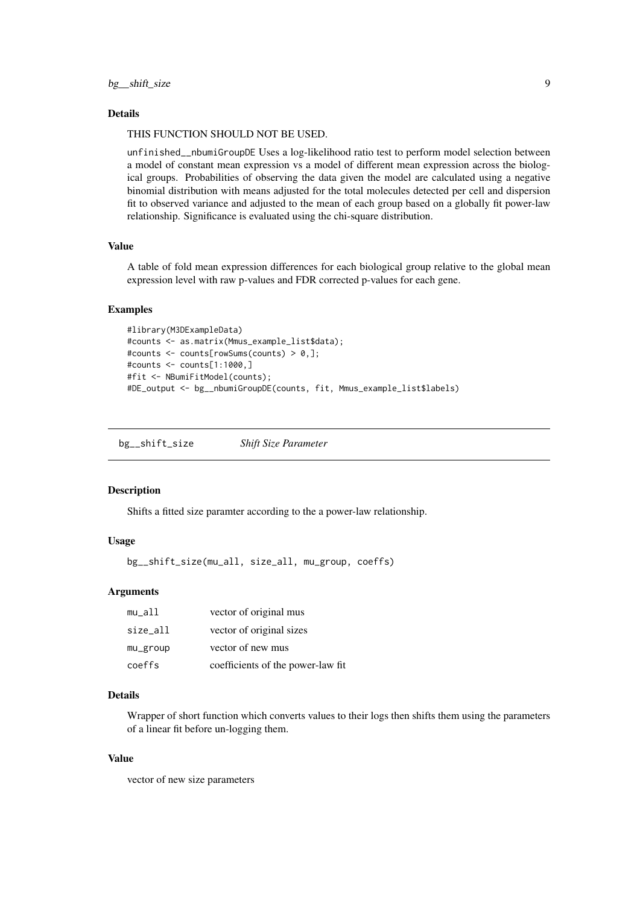#### <span id="page-8-0"></span>THIS FUNCTION SHOULD NOT BE USED.

unfinished\_\_nbumiGroupDE Uses a log-likelihood ratio test to perform model selection between a model of constant mean expression vs a model of different mean expression across the biological groups. Probabilities of observing the data given the model are calculated using a negative binomial distribution with means adjusted for the total molecules detected per cell and dispersion fit to observed variance and adjusted to the mean of each group based on a globally fit power-law relationship. Significance is evaluated using the chi-square distribution.

### Value

A table of fold mean expression differences for each biological group relative to the global mean expression level with raw p-values and FDR corrected p-values for each gene.

#### Examples

```
#library(M3DExampleData)
#counts <- as.matrix(Mmus_example_list$data);
#counts <- counts[rowSums(counts) > 0,];
#counts <- counts[1:1000,]
#fit <- NBumiFitModel(counts);
#DE_output <- bg__nbumiGroupDE(counts, fit, Mmus_example_list$labels)
```
bg\_\_shift\_size *Shift Size Parameter*

#### Description

Shifts a fitted size paramter according to the a power-law relationship.

### Usage

```
bg__shift_size(mu_all, size_all, mu_group, coeffs)
```
#### Arguments

| $mu_2$ all | vector of original mus            |
|------------|-----------------------------------|
| size_all   | vector of original sizes          |
| mu_group   | vector of new mus                 |
| coeffs     | coefficients of the power-law fit |

#### Details

Wrapper of short function which converts values to their logs then shifts them using the parameters of a linear fit before un-logging them.

#### Value

vector of new size parameters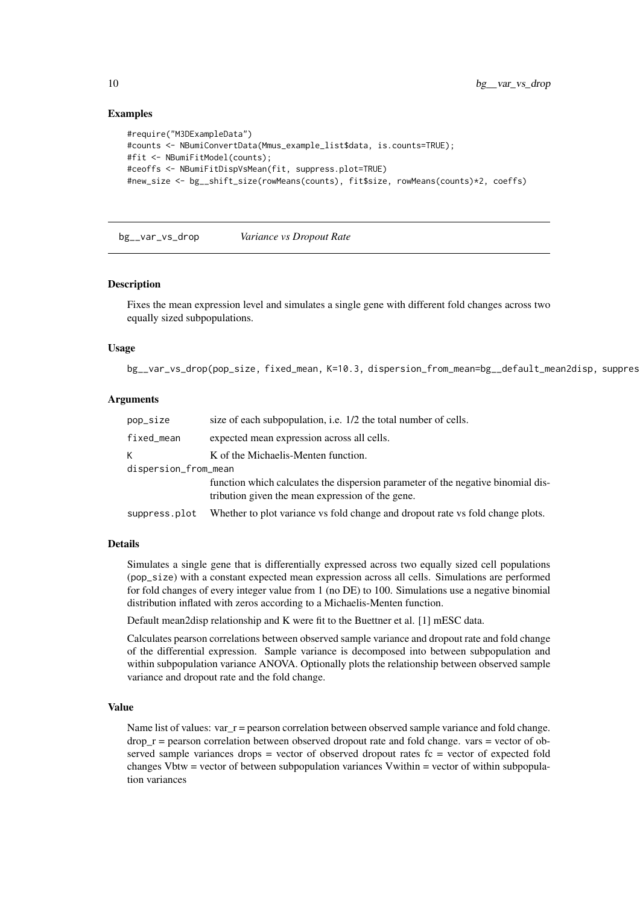### Examples

```
#require("M3DExampleData")
#counts <- NBumiConvertData(Mmus_example_list$data, is.counts=TRUE);
#fit <- NBumiFitModel(counts);
#ceoffs <- NBumiFitDispVsMean(fit, suppress.plot=TRUE)
#new_size <- bg__shift_size(rowMeans(counts), fit$size, rowMeans(counts)*2, coeffs)
```
bg\_\_var\_vs\_drop *Variance vs Dropout Rate*

#### Description

Fixes the mean expression level and simulates a single gene with different fold changes across two equally sized subpopulations.

### Usage

bg\_\_var\_vs\_drop(pop\_size, fixed\_mean, K=10.3, dispersion\_from\_mean=bg\_\_default\_mean2disp, suppres

### Arguments

| pop_size             | size of each subpopulation, i.e. 1/2 the total number of cells.                                                                      |  |
|----------------------|--------------------------------------------------------------------------------------------------------------------------------------|--|
| fixed_mean           | expected mean expression across all cells.                                                                                           |  |
| K                    | K of the Michaelis-Menten function.                                                                                                  |  |
| dispersion_from_mean |                                                                                                                                      |  |
|                      | function which calculates the dispersion parameter of the negative binomial dis-<br>tribution given the mean expression of the gene. |  |
| suppress.plot        | Whether to plot variance vs fold change and dropout rate vs fold change plots.                                                       |  |

#### Details

Simulates a single gene that is differentially expressed across two equally sized cell populations (pop\_size) with a constant expected mean expression across all cells. Simulations are performed for fold changes of every integer value from 1 (no DE) to 100. Simulations use a negative binomial distribution inflated with zeros according to a Michaelis-Menten function.

Default mean2disp relationship and K were fit to the Buettner et al. [1] mESC data.

Calculates pearson correlations between observed sample variance and dropout rate and fold change of the differential expression. Sample variance is decomposed into between subpopulation and within subpopulation variance ANOVA. Optionally plots the relationship between observed sample variance and dropout rate and the fold change.

#### Value

Name list of values:  $var_r =$  pearson correlation between observed sample variance and fold change.  $drop_r =$  pearson correlation between observed dropout rate and fold change. vars  $=$  vector of observed sample variances drops  $=$  vector of observed dropout rates fc  $=$  vector of expected fold changes Vbtw = vector of between subpopulation variances Vwithin = vector of within subpopulation variances

<span id="page-9-0"></span>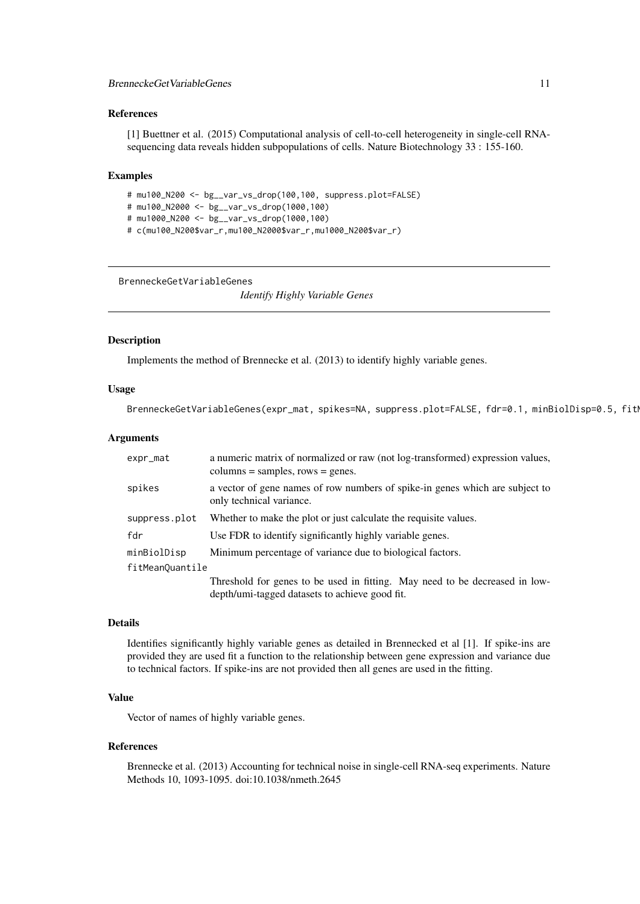#### <span id="page-10-0"></span>References

[1] Buettner et al. (2015) Computational analysis of cell-to-cell heterogeneity in single-cell RNAsequencing data reveals hidden subpopulations of cells. Nature Biotechnology 33 : 155-160.

### Examples

# mu100\_N200 <- bg\_\_var\_vs\_drop(100,100, suppress.plot=FALSE)

- # mu100\_N2000 <- bg\_\_var\_vs\_drop(1000,100)
- # mu1000\_N200 <- bg\_\_var\_vs\_drop(1000,100)
- # c(mu100\_N200\$var\_r,mu100\_N2000\$var\_r,mu1000\_N200\$var\_r)

BrenneckeGetVariableGenes

*Identify Highly Variable Genes*

#### Description

Implements the method of Brennecke et al. (2013) to identify highly variable genes.

#### Usage

```
BrenneckeGetVariableGenes(expr_mat, spikes=NA, suppress.plot=FALSE, fdr=0.1, minBiolDisp=0.5, fitI
```
#### Arguments

| expr_mat        | a numeric matrix of normalized or raw (not log-transformed) expression values,<br>$columns = samples, rows = genes.$ |  |
|-----------------|----------------------------------------------------------------------------------------------------------------------|--|
| spikes          | a vector of gene names of row numbers of spike-in genes which are subject to<br>only technical variance.             |  |
| suppress.plot   | Whether to make the plot or just calculate the requisite values.                                                     |  |
| fdr             | Use FDR to identify significantly highly variable genes.                                                             |  |
| minBiolDisp     | Minimum percentage of variance due to biological factors.                                                            |  |
| fitMeanQuantile |                                                                                                                      |  |
|                 | Threshold for genes to be used in fitting. May need to be decreased in low-                                          |  |
|                 | depth/umi-tagged datasets to achieve good fit.                                                                       |  |

#### Details

Identifies significantly highly variable genes as detailed in Brennecked et al [1]. If spike-ins are provided they are used fit a function to the relationship between gene expression and variance due to technical factors. If spike-ins are not provided then all genes are used in the fitting.

### Value

Vector of names of highly variable genes.

#### References

Brennecke et al. (2013) Accounting for technical noise in single-cell RNA-seq experiments. Nature Methods 10, 1093-1095. doi:10.1038/nmeth.2645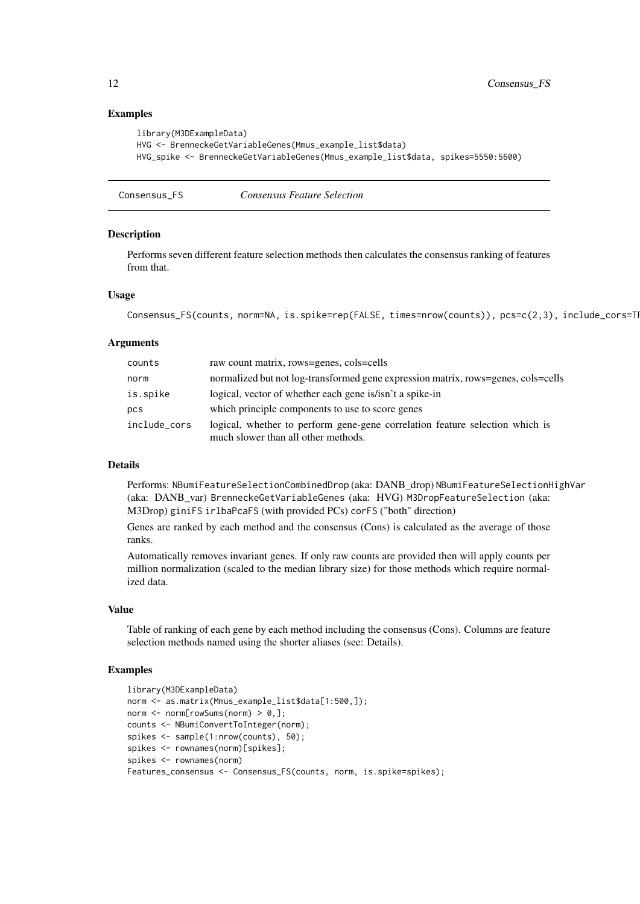### Examples

```
library(M3DExampleData)
HVG <- BrenneckeGetVariableGenes(Mmus_example_list$data)
HVG_spike <- BrenneckeGetVariableGenes(Mmus_example_list$data, spikes=5550:5600)
```
Consensus\_FS *Consensus Feature Selection*

#### **Description**

Performs seven different feature selection methods then calculates the consensus ranking of features from that.

#### Usage

```
Consensus_FS(counts, norm=NA, is.spike=rep(FALSE, times=nrow(counts)), pcs=c(2,3), include_cors=TI
```
#### Arguments

| counts       | raw count matrix, rows=genes, cols=cells                                                                            |
|--------------|---------------------------------------------------------------------------------------------------------------------|
| norm         | normalized but not log-transformed gene expression matrix, rows=genes, cols=cells                                   |
| is.spike     | logical, vector of whether each gene is/isn't a spike-in                                                            |
| pcs          | which principle components to use to score genes                                                                    |
| include_cors | logical, whether to perform gene-gene correlation feature selection which is<br>much slower than all other methods. |

### Details

Performs: NBumiFeatureSelectionCombinedDrop (aka: DANB\_drop) NBumiFeatureSelectionHighVar (aka: DANB\_var) BrenneckeGetVariableGenes (aka: HVG) M3DropFeatureSelection (aka: M3Drop) giniFS irlbaPcaFS (with provided PCs) corFS ("both" direction)

Genes are ranked by each method and the consensus (Cons) is calculated as the average of those ranks.

Automatically removes invariant genes. If only raw counts are provided then will apply counts per million normalization (scaled to the median library size) for those methods which require normalized data.

### Value

Table of ranking of each gene by each method including the consensus (Cons). Columns are feature selection methods named using the shorter aliases (see: Details).

```
library(M3DExampleData)
norm <- as.matrix(Mmus_example_list$data[1:500,]);
norm \leq norm[rowSums(norm) > 0,];
counts <- NBumiConvertToInteger(norm);
spikes <- sample(1:nrow(counts), 50);
spikes <- rownames(norm)[spikes];
spikes <- rownames(norm)
Features_consensus <- Consensus_FS(counts, norm, is.spike=spikes);
```
<span id="page-11-0"></span>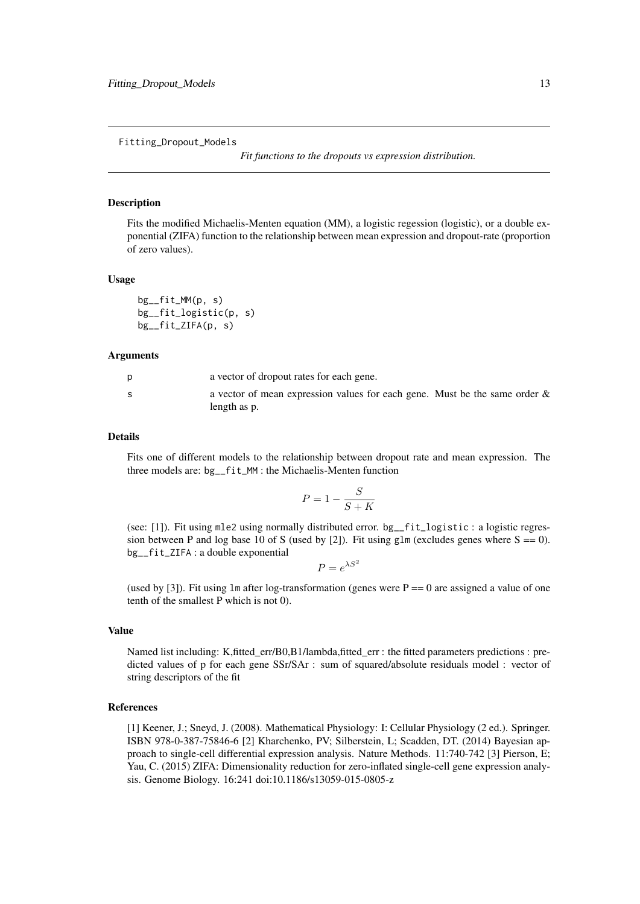<span id="page-12-0"></span>Fitting\_Dropout\_Models

*Fit functions to the dropouts vs expression distribution.*

#### Description

Fits the modified Michaelis-Menten equation (MM), a logistic regession (logistic), or a double exponential (ZIFA) function to the relationship between mean expression and dropout-rate (proportion of zero values).

#### Usage

```
bg__fit_MM(p, s)
bg__fit_logistic(p, s)
bg__fit_ZIFA(p, s)
```
#### Arguments

| a vector of dropout rates for each gene.                                   |
|----------------------------------------------------------------------------|
| a vector of mean expression values for each gene. Must be the same order & |
| length as p.                                                               |

#### Details

Fits one of different models to the relationship between dropout rate and mean expression. The three models are: bg\_\_fit\_MM : the Michaelis-Menten function

$$
P = 1 - \frac{S}{S + K}
$$

(see: [1]). Fit using mle2 using normally distributed error. bg\_\_fit\_logistic : a logistic regression between P and log base 10 of S (used by [2]). Fit using glm (excludes genes where  $S = 0$ ). bg\_\_fit\_ZIFA : a double exponential

 $P = e^{\lambda S^2}$ 

(used by [3]). Fit using  $\text{Im}$  after log-transformation (genes were  $P = 0$  are assigned a value of one tenth of the smallest P which is not 0).

### Value

Named list including: K,fitted\_err/B0,B1/lambda,fitted\_err : the fitted parameters predictions : predicted values of p for each gene SSr/SAr : sum of squared/absolute residuals model : vector of string descriptors of the fit

#### References

[1] Keener, J.; Sneyd, J. (2008). Mathematical Physiology: I: Cellular Physiology (2 ed.). Springer. ISBN 978-0-387-75846-6 [2] Kharchenko, PV; Silberstein, L; Scadden, DT. (2014) Bayesian approach to single-cell differential expression analysis. Nature Methods. 11:740-742 [3] Pierson, E; Yau, C. (2015) ZIFA: Dimensionality reduction for zero-inflated single-cell gene expression analysis. Genome Biology. 16:241 doi:10.1186/s13059-015-0805-z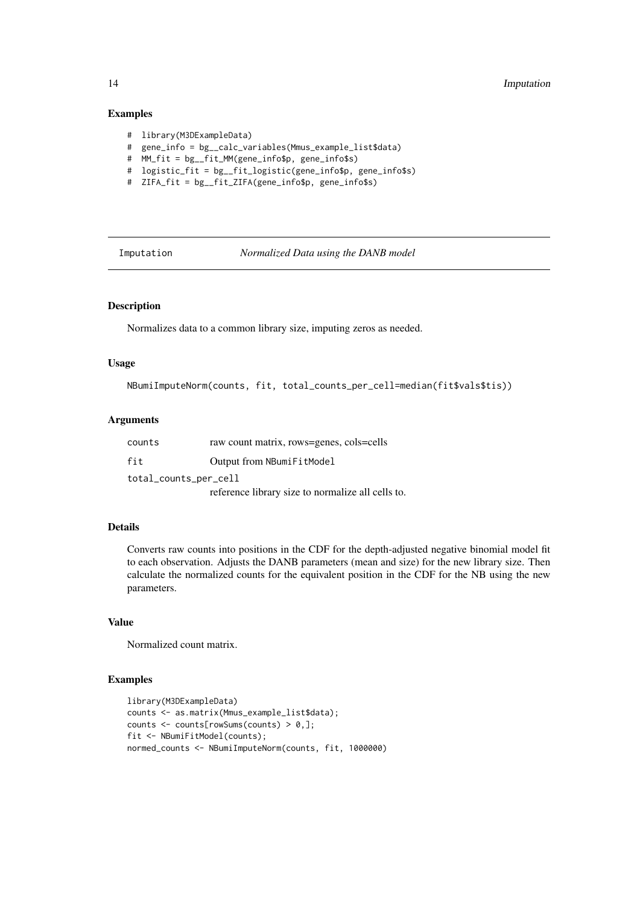### Examples

- # library(M3DExampleData)
- # gene\_info = bg\_\_calc\_variables(Mmus\_example\_list\$data)
- # MM\_fit = bg\_\_fit\_MM(gene\_info\$p, gene\_info\$s)
- # logistic\_fit = bg\_\_fit\_logistic(gene\_info\$p, gene\_info\$s)
- # ZIFA\_fit = bg\_\_fit\_ZIFA(gene\_info\$p, gene\_info\$s)

Imputation *Normalized Data using the DANB model*

#### Description

Normalizes data to a common library size, imputing zeros as needed.

#### Usage

```
NBumiImputeNorm(counts, fit, total_counts_per_cell=median(fit$vals$tis))
```
### Arguments

| counts                | raw count matrix, rows=genes, cols=cells          |  |
|-----------------------|---------------------------------------------------|--|
| fit                   | Output from NBumiFitModel                         |  |
| total_counts_per_cell |                                                   |  |
|                       | reference library size to normalize all cells to. |  |

### Details

Converts raw counts into positions in the CDF for the depth-adjusted negative binomial model fit to each observation. Adjusts the DANB parameters (mean and size) for the new library size. Then calculate the normalized counts for the equivalent position in the CDF for the NB using the new parameters.

### Value

Normalized count matrix.

```
library(M3DExampleData)
counts <- as.matrix(Mmus_example_list$data);
counts \leq counts[rowSums(counts) > 0,];
fit <- NBumiFitModel(counts);
normed_counts <- NBumiImputeNorm(counts, fit, 1000000)
```
<span id="page-13-0"></span>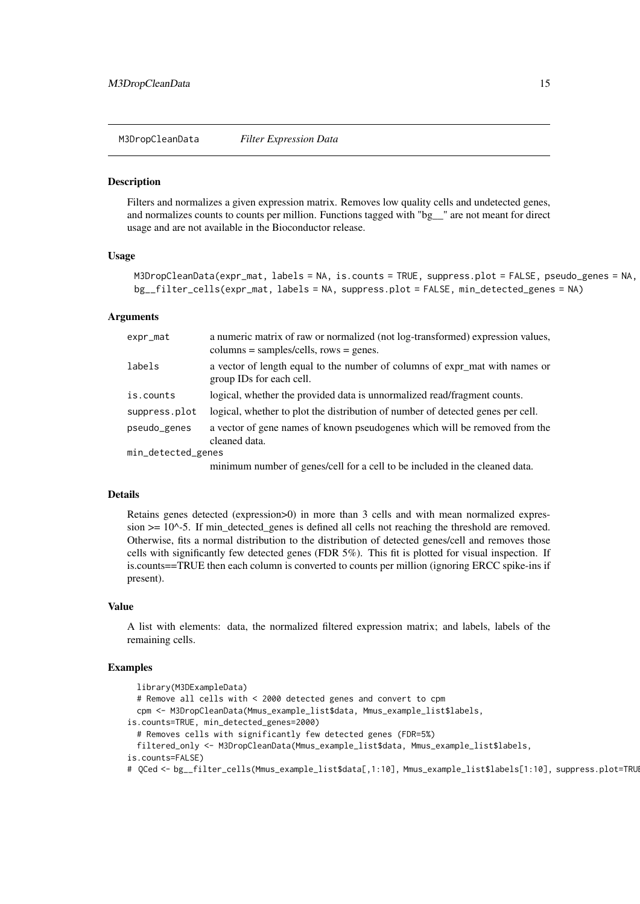<span id="page-14-0"></span>M3DropCleanData *Filter Expression Data*

## Description

Filters and normalizes a given expression matrix. Removes low quality cells and undetected genes, and normalizes counts to counts per million. Functions tagged with "bg\_\_" are not meant for direct usage and are not available in the Bioconductor release.

#### Usage

```
M3DropCleanData(expr_mat, labels = NA, is.counts = TRUE, suppress.plot = FALSE, pseudo_genes = NA,
bg__filter_cells(expr_mat, labels = NA, suppress.plot = FALSE, min_detected_genes = NA)
```
#### Arguments

| expr_mat           | a numeric matrix of raw or normalized (not log-transformed) expression values,<br>$columns = samples/cells, rows = genes.$ |
|--------------------|----------------------------------------------------------------------------------------------------------------------------|
| labels             | a vector of length equal to the number of columns of expr_mat with names or<br>group IDs for each cell.                    |
| is.counts          | logical, whether the provided data is unnormalized read/fragment counts.                                                   |
| suppress.plot      | logical, whether to plot the distribution of number of detected genes per cell.                                            |
| pseudo_genes       | a vector of gene names of known pseudogenes which will be removed from the<br>cleaned data.                                |
| min_detected_genes |                                                                                                                            |
|                    | minimum number of genes/cell for a cell to be included in the cleaned data.                                                |

### Details

Retains genes detected (expression>0) in more than 3 cells and with mean normalized expression  $\geq$  10^-5. If min detected genes is defined all cells not reaching the threshold are removed. Otherwise, fits a normal distribution to the distribution of detected genes/cell and removes those cells with significantly few detected genes (FDR 5%). This fit is plotted for visual inspection. If is.counts==TRUE then each column is converted to counts per million (ignoring ERCC spike-ins if present).

### Value

A list with elements: data, the normalized filtered expression matrix; and labels, labels of the remaining cells.

```
library(M3DExampleData)
  # Remove all cells with < 2000 detected genes and convert to cpm
  cpm <- M3DropCleanData(Mmus_example_list$data, Mmus_example_list$labels,
is.counts=TRUE, min_detected_genes=2000)
  # Removes cells with significantly few detected genes (FDR=5%)
  filtered_only <- M3DropCleanData(Mmus_example_list$data, Mmus_example_list$labels,
is.counts=FALSE)
# QCed <- bg__filter_cells(Mmus_example_list$data[,1:10], Mmus_example_list$labels[1:10], suppress.plot=TRU
```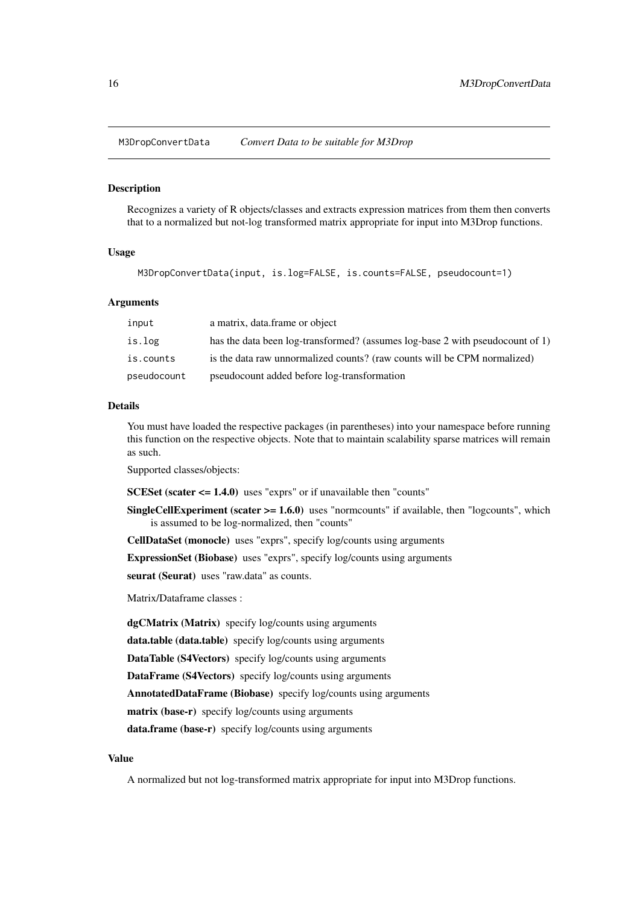<span id="page-15-0"></span>M3DropConvertData *Convert Data to be suitable for M3Drop*

#### Description

Recognizes a variety of R objects/classes and extracts expression matrices from them then converts that to a normalized but not-log transformed matrix appropriate for input into M3Drop functions.

### Usage

M3DropConvertData(input, is.log=FALSE, is.counts=FALSE, pseudocount=1)

#### Arguments

| input       | a matrix, data frame or object                                                |
|-------------|-------------------------------------------------------------------------------|
| is.log      | has the data been log-transformed? (assumes log-base 2 with pseudocount of 1) |
| is.counts   | is the data raw unnormalized counts? (raw counts will be CPM normalized)      |
| pseudocount | pseudocount added before log-transformation                                   |

#### Details

You must have loaded the respective packages (in parentheses) into your namespace before running this function on the respective objects. Note that to maintain scalability sparse matrices will remain as such.

Supported classes/objects:

SCESet (scater <= 1.4.0) uses "exprs" or if unavailable then "counts"

**SingleCellExperiment (scater**  $>= 1.6.0$ **)** uses "normcounts" if available, then "logcounts", which is assumed to be log-normalized, then "counts"

CellDataSet (monocle) uses "exprs", specify log/counts using arguments

ExpressionSet (Biobase) uses "exprs", specify log/counts using arguments

seurat (Seurat) uses "raw.data" as counts.

Matrix/Dataframe classes :

dgCMatrix (Matrix) specify log/counts using arguments data.table (data.table) specify log/counts using arguments DataTable (S4Vectors) specify log/counts using arguments DataFrame (S4Vectors) specify log/counts using arguments AnnotatedDataFrame (Biobase) specify log/counts using arguments matrix (base-r) specify log/counts using arguments data.frame (base-r) specify log/counts using arguments

### Value

A normalized but not log-transformed matrix appropriate for input into M3Drop functions.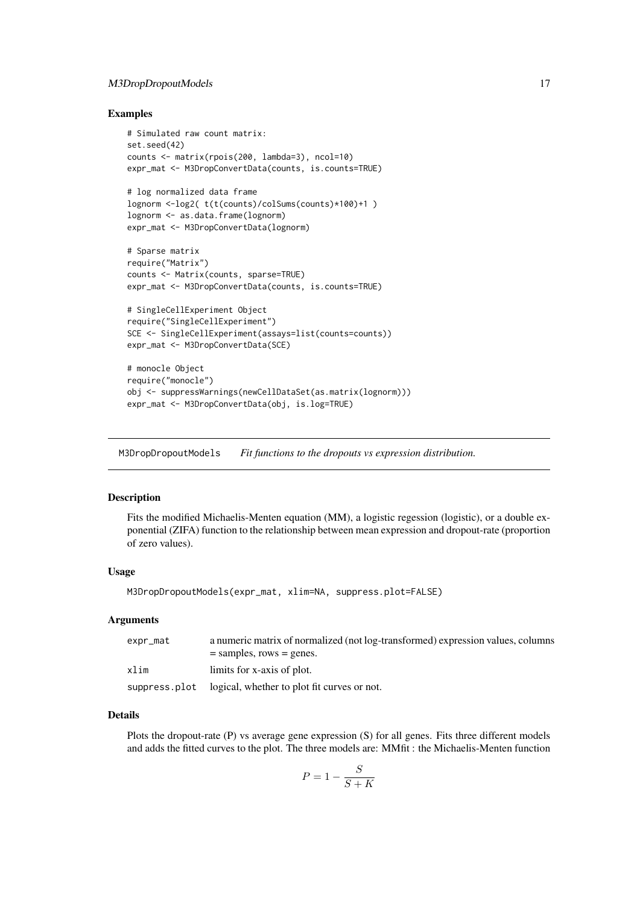#### <span id="page-16-0"></span>M3DropDropoutModels 17

#### Examples

```
# Simulated raw count matrix:
set.seed(42)
counts <- matrix(rpois(200, lambda=3), ncol=10)
expr_mat <- M3DropConvertData(counts, is.counts=TRUE)
# log normalized data frame
lognorm <-log2( t(t(counts)/colSums(counts)*100)+1 )
lognorm <- as.data.frame(lognorm)
expr_mat <- M3DropConvertData(lognorm)
# Sparse matrix
require("Matrix")
counts <- Matrix(counts, sparse=TRUE)
expr_mat <- M3DropConvertData(counts, is.counts=TRUE)
# SingleCellExperiment Object
require("SingleCellExperiment")
SCE <- SingleCellExperiment(assays=list(counts=counts))
expr_mat <- M3DropConvertData(SCE)
# monocle Object
require("monocle")
obj <- suppressWarnings(newCellDataSet(as.matrix(lognorm)))
expr_mat <- M3DropConvertData(obj, is.log=TRUE)
```
M3DropDropoutModels *Fit functions to the dropouts vs expression distribution.*

#### Description

Fits the modified Michaelis-Menten equation (MM), a logistic regession (logistic), or a double exponential (ZIFA) function to the relationship between mean expression and dropout-rate (proportion of zero values).

#### Usage

M3DropDropoutModels(expr\_mat, xlim=NA, suppress.plot=FALSE)

#### Arguments

| expr_mat      | a numeric matrix of normalized (not log-transformed) expression values, columns |
|---------------|---------------------------------------------------------------------------------|
|               | $=$ samples, rows $=$ genes.                                                    |
| xlim          | limits for x-axis of plot.                                                      |
| suppress.plot | logical, whether to plot fit curves or not.                                     |

### Details

Plots the dropout-rate (P) vs average gene expression (S) for all genes. Fits three different models and adds the fitted curves to the plot. The three models are: MMfit : the Michaelis-Menten function

$$
P = 1 - \frac{S}{S + K}
$$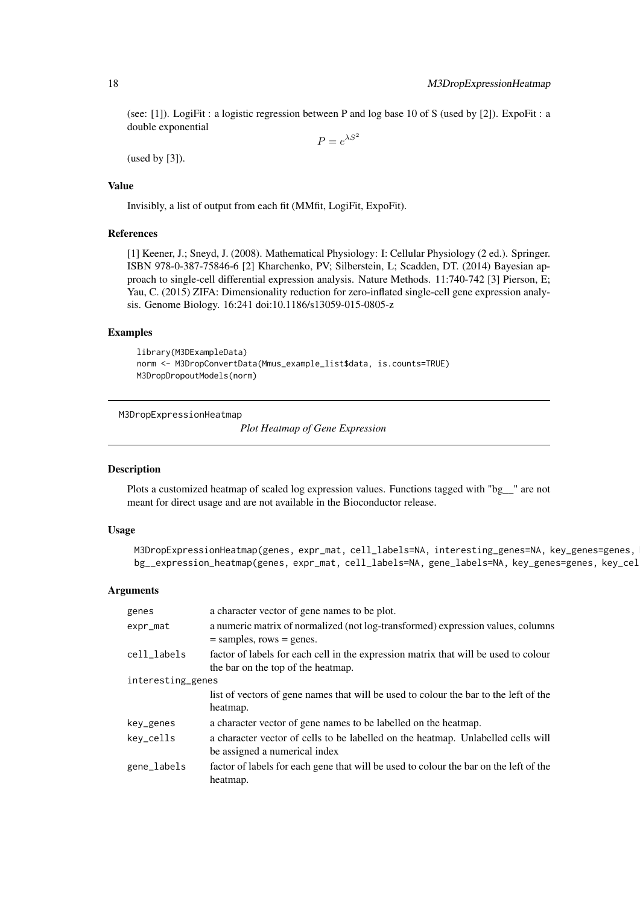(see: [1]). LogiFit : a logistic regression between P and log base 10 of S (used by [2]). ExpoFit : a double exponential

 $P = e^{\lambda S^2}$ 

(used by [3]).

### Value

Invisibly, a list of output from each fit (MMfit, LogiFit, ExpoFit).

### References

[1] Keener, J.; Sneyd, J. (2008). Mathematical Physiology: I: Cellular Physiology (2 ed.). Springer. ISBN 978-0-387-75846-6 [2] Kharchenko, PV; Silberstein, L; Scadden, DT. (2014) Bayesian approach to single-cell differential expression analysis. Nature Methods. 11:740-742 [3] Pierson, E; Yau, C. (2015) ZIFA: Dimensionality reduction for zero-inflated single-cell gene expression analysis. Genome Biology. 16:241 doi:10.1186/s13059-015-0805-z

### Examples

```
library(M3DExampleData)
norm <- M3DropConvertData(Mmus_example_list$data, is.counts=TRUE)
M3DropDropoutModels(norm)
```
M3DropExpressionHeatmap

*Plot Heatmap of Gene Expression*

### Description

Plots a customized heatmap of scaled log expression values. Functions tagged with "bg\_\_" are not meant for direct usage and are not available in the Bioconductor release.

#### Usage

M3DropExpressionHeatmap(genes, expr\_mat, cell\_labels=NA, interesting\_genes=NA, key\_genes=genes, bg\_\_expression\_heatmap(genes, expr\_mat, cell\_labels=NA, gene\_labels=NA, key\_genes=genes, key\_cel

| genes             | a character vector of gene names to be plot.                                          |  |
|-------------------|---------------------------------------------------------------------------------------|--|
| expr_mat          | a numeric matrix of normalized (not log-transformed) expression values, columns       |  |
|                   | $=$ samples, rows $=$ genes.                                                          |  |
| cell_labels       | factor of labels for each cell in the expression matrix that will be used to colour   |  |
|                   | the bar on the top of the heatmap.                                                    |  |
| interesting_genes |                                                                                       |  |
|                   | list of vectors of gene names that will be used to colour the bar to the left of the  |  |
|                   | heatmap.                                                                              |  |
| key_genes         | a character vector of gene names to be labelled on the heatmap.                       |  |
| key_cells         | a character vector of cells to be labelled on the heatmap. Unlabelled cells will      |  |
|                   | be assigned a numerical index                                                         |  |
| gene_labels       | factor of labels for each gene that will be used to colour the bar on the left of the |  |
|                   | heatmap.                                                                              |  |
|                   |                                                                                       |  |

<span id="page-17-0"></span>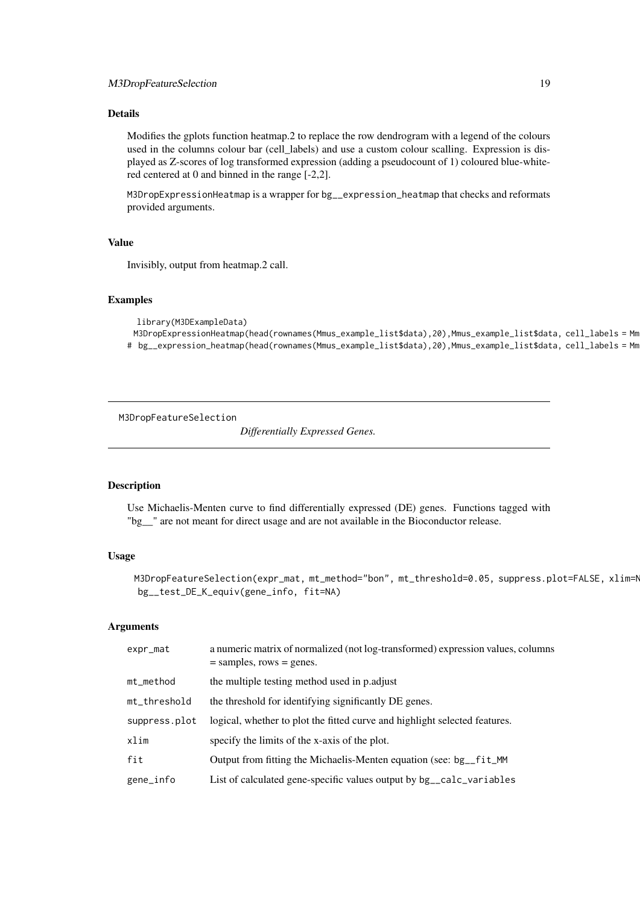<span id="page-18-0"></span>Modifies the gplots function heatmap.2 to replace the row dendrogram with a legend of the colours used in the columns colour bar (cell\_labels) and use a custom colour scalling. Expression is displayed as Z-scores of log transformed expression (adding a pseudocount of 1) coloured blue-whitered centered at 0 and binned in the range [-2,2].

M3DropExpressionHeatmap is a wrapper for bg\_\_expression\_heatmap that checks and reformats provided arguments.

### Value

Invisibly, output from heatmap.2 call.

### Examples

```
library(M3DExampleData)
```

```
M3DropExpressionHeatmap(head(rownames(Mmus_example_list$data),20),Mmus_example_list$data, cell_labels = Mmus_example_list$labels)
```
# bg\_\_expression\_heatmap(head(rownames(Mmus\_example\_list\$data),20),Mmus\_example\_list\$data, cell\_labels = Mm

M3DropFeatureSelection

*Differentially Expressed Genes.*

### Description

Use Michaelis-Menten curve to find differentially expressed (DE) genes. Functions tagged with "bg\_\_" are not meant for direct usage and are not available in the Bioconductor release.

#### Usage

M3DropFeatureSelection(expr\_mat, mt\_method="bon", mt\_threshold=0.05, suppress.plot=FALSE, xlim=N bg\_\_test\_DE\_K\_equiv(gene\_info, fit=NA)

| expr_mat      | a numeric matrix of normalized (not log-transformed) expression values, columns<br>$=$ samples, rows $=$ genes. |
|---------------|-----------------------------------------------------------------------------------------------------------------|
| mt_method     | the multiple testing method used in p. adjust                                                                   |
| mt_threshold  | the threshold for identifying significantly DE genes.                                                           |
| suppress.plot | logical, whether to plot the fitted curve and highlight selected features.                                      |
| xlim          | specify the limits of the x-axis of the plot.                                                                   |
| fit           | Output from fitting the Michaelis-Menten equation (see: bg_fit_MM)                                              |
| gene_info     | List of calculated gene-specific values output by bg_calc_variables                                             |
|               |                                                                                                                 |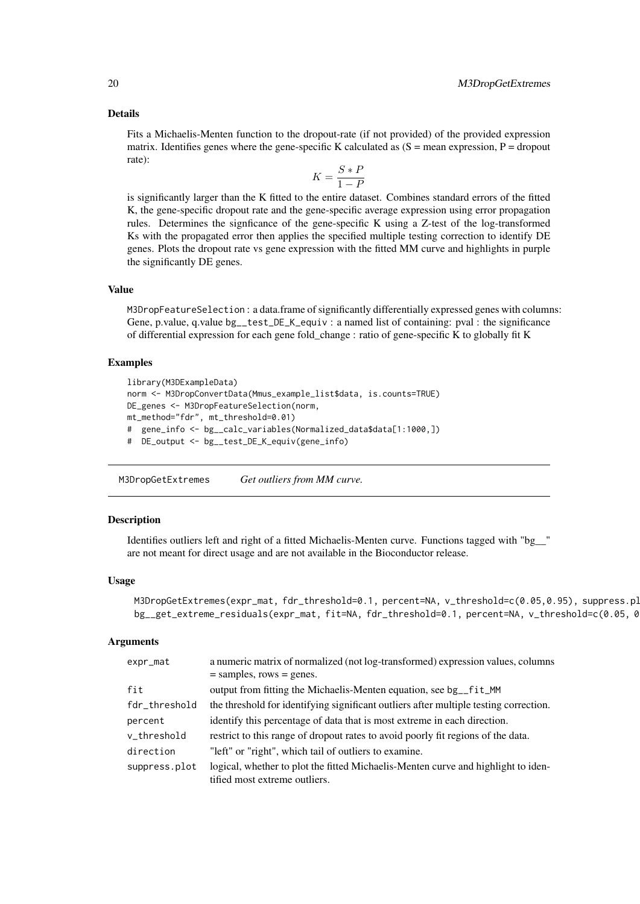<span id="page-19-0"></span>Fits a Michaelis-Menten function to the dropout-rate (if not provided) of the provided expression matrix. Identifies genes where the gene-specific K calculated as  $(S = mean$  expression,  $P = dropout$ rate):

$$
K = \frac{S \ast P}{1 - P}
$$

is significantly larger than the K fitted to the entire dataset. Combines standard errors of the fitted K, the gene-specific dropout rate and the gene-specific average expression using error propagation rules. Determines the signficance of the gene-specific K using a Z-test of the log-transformed Ks with the propagated error then applies the specified multiple testing correction to identify DE genes. Plots the dropout rate vs gene expression with the fitted MM curve and highlights in purple the significantly DE genes.

### Value

M3DropFeatureSelection : a data.frame of significantly differentially expressed genes with columns: Gene, p.value, q.value bg\_\_test\_DE\_K\_equiv : a named list of containing: pval : the significance of differential expression for each gene fold\_change : ratio of gene-specific K to globally fit K

#### Examples

```
library(M3DExampleData)
norm <- M3DropConvertData(Mmus_example_list$data, is.counts=TRUE)
DE_genes <- M3DropFeatureSelection(norm,
mt_method="fdr", mt_threshold=0.01)
# gene_info <- bg__calc_variables(Normalized_data$data[1:1000,])
# DE_output <- bg__test_DE_K_equiv(gene_info)
```
M3DropGetExtremes *Get outliers from MM curve.*

#### Description

Identifies outliers left and right of a fitted Michaelis-Menten curve. Functions tagged with "bg\_\_" are not meant for direct usage and are not available in the Bioconductor release.

#### Usage

```
M3DropGetExtremes(expr_mat, fdr_threshold=0.1, percent=NA, v_threshold=c(0.05,0.95), suppress.pl
bg__get_extreme_residuals(expr_mat, fit=NA, fdr_threshold=0.1, percent=NA, v_threshold=c(0.05, 0.
```

| expr_mat      | a numeric matrix of normalized (not log-transformed) expression values, columns                                    |  |
|---------------|--------------------------------------------------------------------------------------------------------------------|--|
|               | $=$ samples, rows $=$ genes.                                                                                       |  |
| fit           | output from fitting the Michaelis-Menten equation, see bg_fit_MM                                                   |  |
| fdr_threshold | the threshold for identifying significant outliers after multiple testing correction.                              |  |
| percent       | identify this percentage of data that is most extreme in each direction.                                           |  |
| v_threshold   | restrict to this range of dropout rates to avoid poorly fit regions of the data.                                   |  |
| direction     | "left" or "right", which tail of outliers to examine.                                                              |  |
| suppress.plot | logical, whether to plot the fitted Michaelis-Menten curve and highlight to iden-<br>tified most extreme outliers. |  |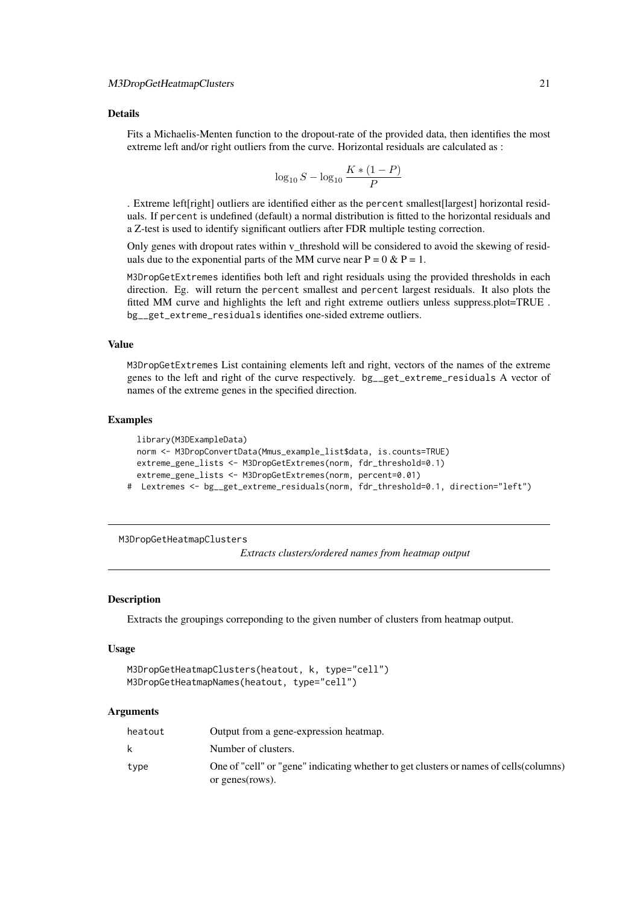<span id="page-20-0"></span>Fits a Michaelis-Menten function to the dropout-rate of the provided data, then identifies the most extreme left and/or right outliers from the curve. Horizontal residuals are calculated as :

$$
\log_{10} S - \log_{10} \frac{K * (1 - P)}{P}
$$

. Extreme left[right] outliers are identified either as the percent smallest[largest] horizontal residuals. If percent is undefined (default) a normal distribution is fitted to the horizontal residuals and a Z-test is used to identify significant outliers after FDR multiple testing correction.

Only genes with dropout rates within v\_threshold will be considered to avoid the skewing of residuals due to the exponential parts of the MM curve near  $P = 0 \& P = 1$ .

M3DropGetExtremes identifies both left and right residuals using the provided thresholds in each direction. Eg. will return the percent smallest and percent largest residuals. It also plots the fitted MM curve and highlights the left and right extreme outliers unless suppress.plot=TRUE . bg\_\_get\_extreme\_residuals identifies one-sided extreme outliers.

### Value

M3DropGetExtremes List containing elements left and right, vectors of the names of the extreme genes to the left and right of the curve respectively. bg\_\_get\_extreme\_residuals A vector of names of the extreme genes in the specified direction.

### Examples

```
library(M3DExampleData)
  norm <- M3DropConvertData(Mmus_example_list$data, is.counts=TRUE)
  extreme_gene_lists <- M3DropGetExtremes(norm, fdr_threshold=0.1)
  extreme_gene_lists <- M3DropGetExtremes(norm, percent=0.01)
# Lextremes <- bg__get_extreme_residuals(norm, fdr_threshold=0.1, direction="left")
```
M3DropGetHeatmapClusters

*Extracts clusters/ordered names from heatmap output*

#### Description

Extracts the groupings correponding to the given number of clusters from heatmap output.

#### Usage

```
M3DropGetHeatmapClusters(heatout, k, type="cell")
M3DropGetHeatmapNames(heatout, type="cell")
```

| heatout | Output from a gene-expression heatmap.                                                                    |  |
|---------|-----------------------------------------------------------------------------------------------------------|--|
| k.      | Number of clusters.                                                                                       |  |
| type    | One of "cell" or "gene" indicating whether to get clusters or names of cells (columns)<br>or genes(rows). |  |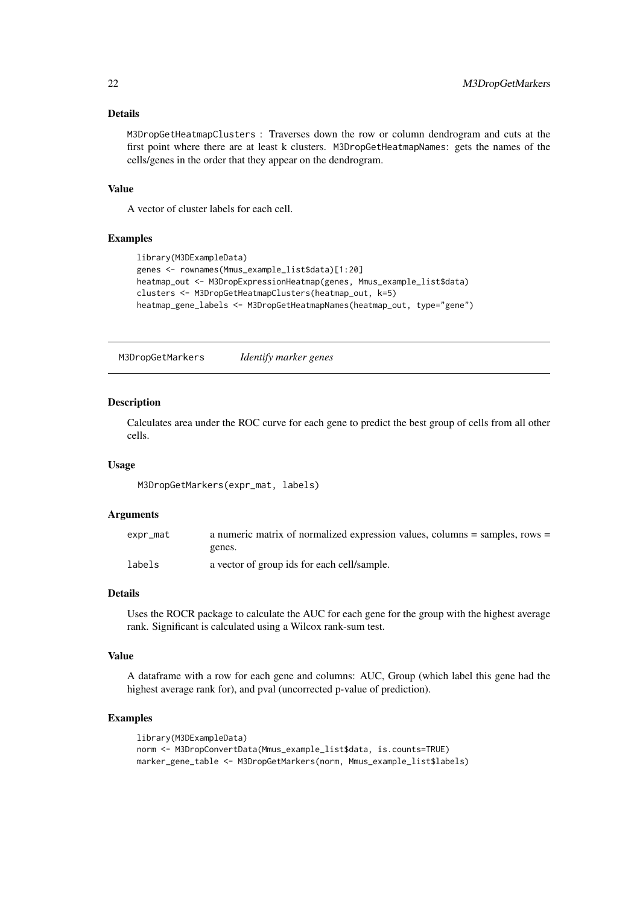M3DropGetHeatmapClusters : Traverses down the row or column dendrogram and cuts at the first point where there are at least k clusters. M3DropGetHeatmapNames: gets the names of the cells/genes in the order that they appear on the dendrogram.

### Value

A vector of cluster labels for each cell.

#### Examples

```
library(M3DExampleData)
genes <- rownames(Mmus_example_list$data)[1:20]
heatmap_out <- M3DropExpressionHeatmap(genes, Mmus_example_list$data)
clusters <- M3DropGetHeatmapClusters(heatmap_out, k=5)
heatmap_gene_labels <- M3DropGetHeatmapNames(heatmap_out, type="gene")
```
M3DropGetMarkers *Identify marker genes*

#### Description

Calculates area under the ROC curve for each gene to predict the best group of cells from all other cells.

### Usage

M3DropGetMarkers(expr\_mat, labels)

#### Arguments

| expr_mat | a numeric matrix of normalized expression values, columns $=$ samples, rows $=$ |
|----------|---------------------------------------------------------------------------------|
|          | genes.                                                                          |
| labels   | a vector of group ids for each cell/sample.                                     |

### Details

Uses the ROCR package to calculate the AUC for each gene for the group with the highest average rank. Significant is calculated using a Wilcox rank-sum test.

### Value

A dataframe with a row for each gene and columns: AUC, Group (which label this gene had the highest average rank for), and pval (uncorrected p-value of prediction).

```
library(M3DExampleData)
norm <- M3DropConvertData(Mmus_example_list$data, is.counts=TRUE)
marker_gene_table <- M3DropGetMarkers(norm, Mmus_example_list$labels)
```
<span id="page-21-0"></span>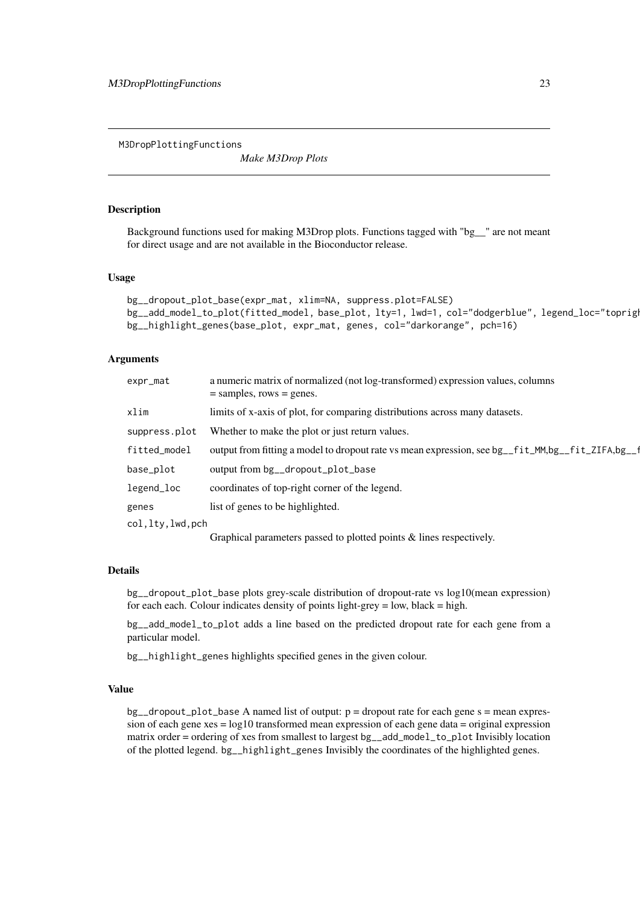<span id="page-22-0"></span>M3DropPlottingFunctions

*Make M3Drop Plots*

### Description

Background functions used for making M3Drop plots. Functions tagged with "bg\_\_" are not meant for direct usage and are not available in the Bioconductor release.

### Usage

```
bg__dropout_plot_base(expr_mat, xlim=NA, suppress.plot=FALSE)
bg__add_model_to_plot(fitted_model, base_plot, lty=1, lwd=1, col="dodgerblue", legend_loc="topright")
bg__highlight_genes(base_plot, expr_mat, genes, col="darkorange", pch=16)
```
### Arguments

| expr_mat           | a numeric matrix of normalized (not log-transformed) expression values, columns<br>$=$ samples, rows $=$ genes. |
|--------------------|-----------------------------------------------------------------------------------------------------------------|
| xlim               | limits of x-axis of plot, for comparing distributions across many datasets.                                     |
| suppress.plot      | Whether to make the plot or just return values.                                                                 |
| fitted_model       | output from fitting a model to dropout rate vs mean expression, see bg_fit_MM,bg_fit_ZIFA,bg_f                  |
| base_plot          | output from bg__dropout_plot_base                                                                               |
| legend_loc         | coordinates of top-right corner of the legend.                                                                  |
| genes              | list of genes to be highlighted.                                                                                |
| col, lty, lwd, pch |                                                                                                                 |
|                    | Graphical parameters passed to plotted points & lines respectively.                                             |

### Details

bg\_\_dropout\_plot\_base plots grey-scale distribution of dropout-rate vs log10(mean expression) for each each. Colour indicates density of points light-grey  $=$  low, black  $=$  high.

bg\_\_add\_model\_to\_plot adds a line based on the predicted dropout rate for each gene from a particular model.

bg\_\_highlight\_genes highlights specified genes in the given colour.

#### Value

 $bg$ <sub>-dropout\_plot\_base A named list of output: p = dropout rate for each gene s = mean expres-</sub> sion of each gene  $x \ge \log 10$  transformed mean expression of each gene data = original expression matrix order = ordering of xes from smallest to largest bg\_\_add\_model\_to\_plot Invisibly location of the plotted legend. bg\_\_highlight\_genes Invisibly the coordinates of the highlighted genes.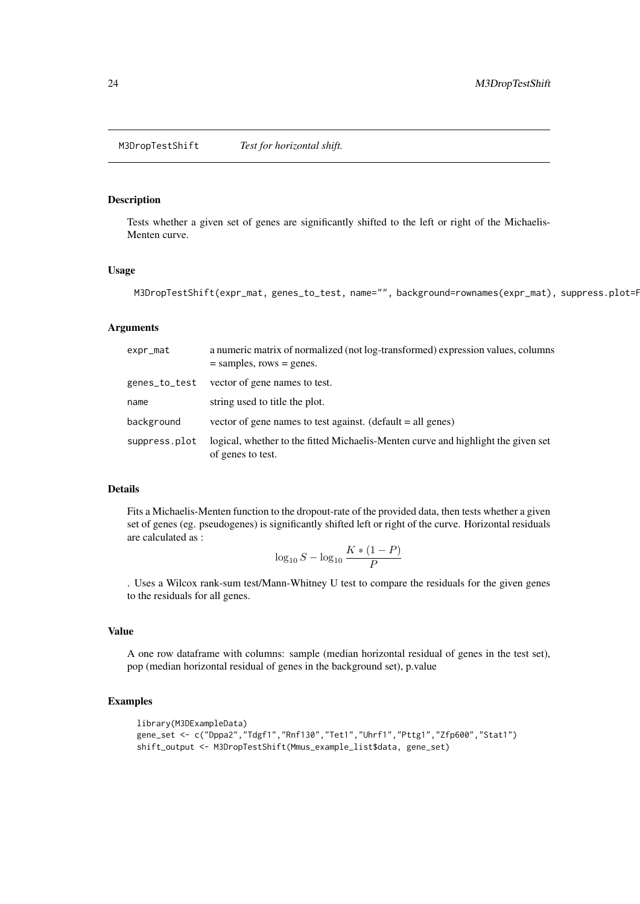<span id="page-23-0"></span>M3DropTestShift *Test for horizontal shift.*

### Description

Tests whether a given set of genes are significantly shifted to the left or right of the Michaelis-Menten curve.

### Usage

```
M3DropTestShift(expr_mat, genes_to_test, name="", background=rownames(expr_mat), suppress.plot=F
```
#### Arguments

| expr_mat      | a numeric matrix of normalized (not log-transformed) expression values, columns<br>$=$ samples, rows $=$ genes. |
|---------------|-----------------------------------------------------------------------------------------------------------------|
| genes_to_test | vector of gene names to test.                                                                                   |
| name          | string used to title the plot.                                                                                  |
| background    | vector of gene names to test against. (default $=$ all genes)                                                   |
| suppress.plot | logical, whether to the fitted Michaelis-Menten curve and highlight the given set<br>of genes to test.          |

### Details

Fits a Michaelis-Menten function to the dropout-rate of the provided data, then tests whether a given set of genes (eg. pseudogenes) is significantly shifted left or right of the curve. Horizontal residuals are calculated as :

$$
\log_{10} S - \log_{10} \frac{K * (1 - P)}{P}
$$

. Uses a Wilcox rank-sum test/Mann-Whitney U test to compare the residuals for the given genes to the residuals for all genes.

### Value

A one row dataframe with columns: sample (median horizontal residual of genes in the test set), pop (median horizontal residual of genes in the background set), p.value

```
library(M3DExampleData)
gene_set <- c("Dppa2","Tdgf1","Rnf130","Tet1","Uhrf1","Pttg1","Zfp600","Stat1")
shift_output <- M3DropTestShift(Mmus_example_list$data, gene_set)
```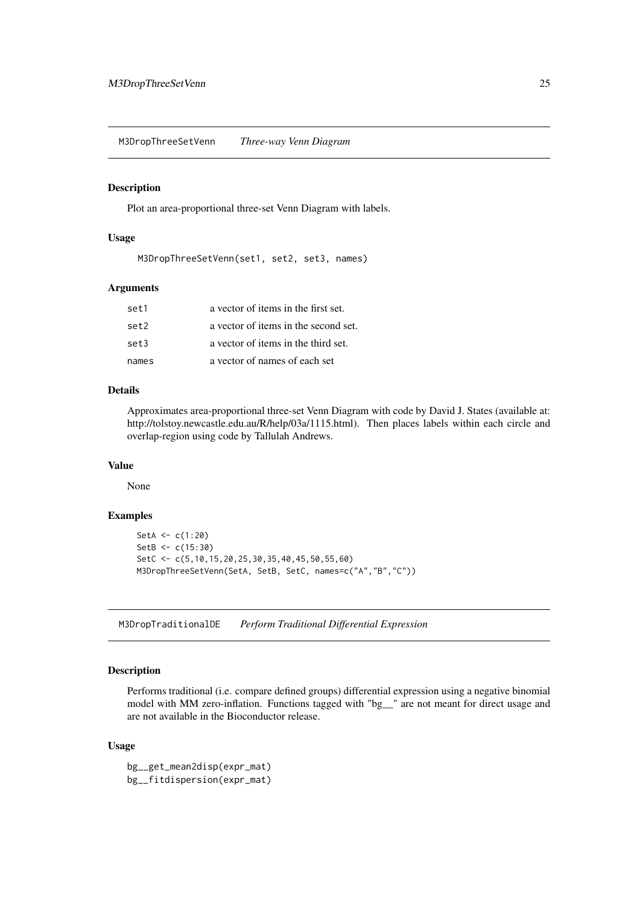<span id="page-24-0"></span>M3DropThreeSetVenn *Three-way Venn Diagram*

### Description

Plot an area-proportional three-set Venn Diagram with labels.

#### Usage

M3DropThreeSetVenn(set1, set2, set3, names)

### Arguments

| set1  | a vector of items in the first set.  |
|-------|--------------------------------------|
| set2  | a vector of items in the second set. |
| set3  | a vector of items in the third set.  |
| names | a vector of names of each set        |

### Details

Approximates area-proportional three-set Venn Diagram with code by David J. States (available at: http://tolstoy.newcastle.edu.au/R/help/03a/1115.html). Then places labels within each circle and overlap-region using code by Tallulah Andrews.

### Value

None

### Examples

```
SetA <- c(1:20)SetB <- c(15:30)
SetC <- c(5,10,15,20,25,30,35,40,45,50,55,60)
M3DropThreeSetVenn(SetA, SetB, SetC, names=c("A","B","C"))
```
M3DropTraditionalDE *Perform Traditional Differential Expression*

### Description

Performs traditional (i.e. compare defined groups) differential expression using a negative binomial model with MM zero-inflation. Functions tagged with "bg\_\_" are not meant for direct usage and are not available in the Bioconductor release.

### Usage

bg\_\_get\_mean2disp(expr\_mat) bg\_\_fitdispersion(expr\_mat)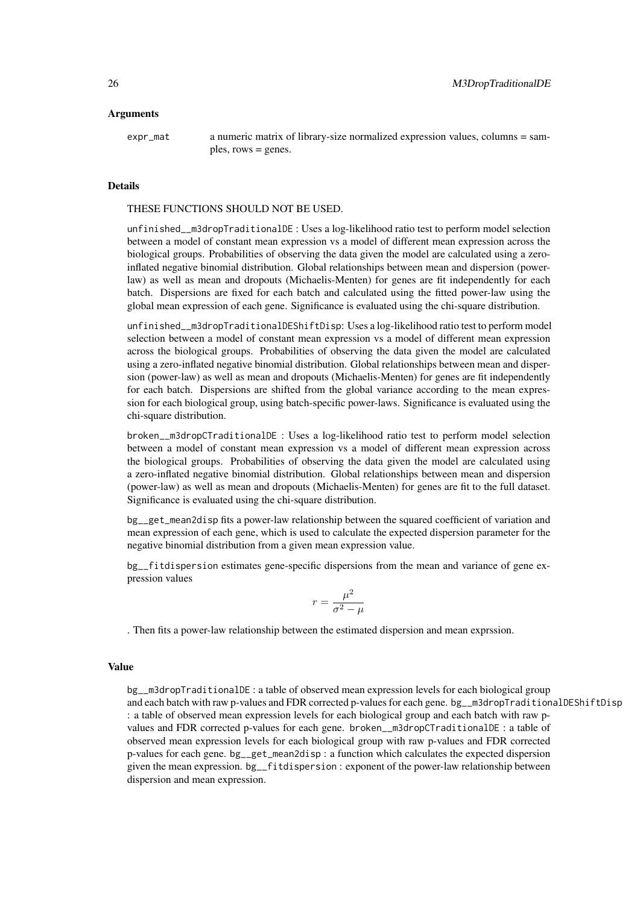### Arguments

expr\_mat a numeric matrix of library-size normalized expression values, columns = samples, rows = genes.

### **Details**

#### THESE FUNCTIONS SHOULD NOT BE USED.

unfinished\_\_m3dropTraditionalDE : Uses a log-likelihood ratio test to perform model selection between a model of constant mean expression vs a model of different mean expression across the biological groups. Probabilities of observing the data given the model are calculated using a zeroinflated negative binomial distribution. Global relationships between mean and dispersion (powerlaw) as well as mean and dropouts (Michaelis-Menten) for genes are fit independently for each batch. Dispersions are fixed for each batch and calculated using the fitted power-law using the global mean expression of each gene. Significance is evaluated using the chi-square distribution.

unfinished\_\_m3dropTraditionalDEShiftDisp: Uses a log-likelihood ratio test to perform model selection between a model of constant mean expression vs a model of different mean expression across the biological groups. Probabilities of observing the data given the model are calculated using a zero-inflated negative binomial distribution. Global relationships between mean and dispersion (power-law) as well as mean and dropouts (Michaelis-Menten) for genes are fit independently for each batch. Dispersions are shifted from the global variance according to the mean expression for each biological group, using batch-specific power-laws. Significance is evaluated using the chi-square distribution.

broken\_\_m3dropCTraditionalDE : Uses a log-likelihood ratio test to perform model selection between a model of constant mean expression vs a model of different mean expression across the biological groups. Probabilities of observing the data given the model are calculated using a zero-inflated negative binomial distribution. Global relationships between mean and dispersion (power-law) as well as mean and dropouts (Michaelis-Menten) for genes are fit to the full dataset. Significance is evaluated using the chi-square distribution.

bg\_\_get\_mean2disp fits a power-law relationship between the squared coefficient of variation and mean expression of each gene, which is used to calculate the expected dispersion parameter for the negative binomial distribution from a given mean expression value.

bg\_\_fitdispersion estimates gene-specific dispersions from the mean and variance of gene expression values

$$
r = \frac{\mu^2}{\sigma^2 - \mu}
$$

. Then fits a power-law relationship between the estimated dispersion and mean exprssion.

### Value

bg\_\_m3dropTraditionalDE : a table of observed mean expression levels for each biological group and each batch with raw p-values and FDR corrected p-values for each gene. bg\_m3dropTraditionalDEShiftDisp : a table of observed mean expression levels for each biological group and each batch with raw pvalues and FDR corrected p-values for each gene. broken\_\_m3dropCTraditionalDE : a table of observed mean expression levels for each biological group with raw p-values and FDR corrected p-values for each gene. bg\_\_get\_mean2disp : a function which calculates the expected dispersion given the mean expression. bg\_\_fitdispersion : exponent of the power-law relationship between dispersion and mean expression.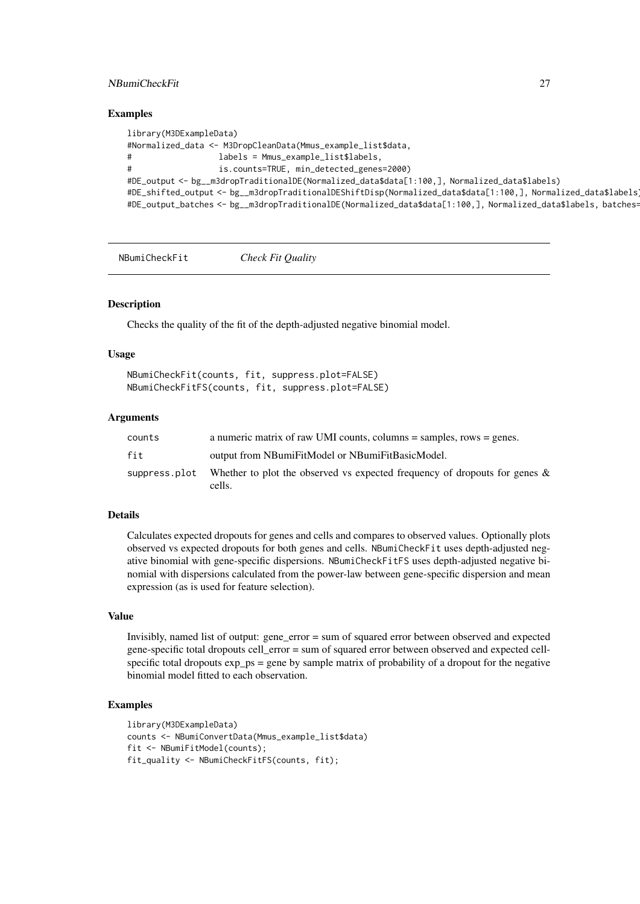#### <span id="page-26-0"></span>NBumiCheckFit 27

#### Examples

```
library(M3DExampleData)
#Normalized_data <- M3DropCleanData(Mmus_example_list$data,
# labels = Mmus_example_list$labels,
# is.counts=TRUE, min_detected_genes=2000)
#DE_output <- bg__m3dropTraditionalDE(Normalized_data$data[1:100,], Normalized_data$labels)
#DE_shifted_output <- bg__m3dropTraditionalDEShiftDisp(Normalized_data$data[1:100,], Normalized_data$labels)
#DE_output_batches <- bg__m3dropTraditionalDE(Normalized_data$data[1:100,], Normalized_data$labels, batches=
```
NBumiCheckFit *Check Fit Quality*

#### Description

Checks the quality of the fit of the depth-adjusted negative binomial model.

#### Usage

```
NBumiCheckFit(counts, fit, suppress.plot=FALSE)
NBumiCheckFitFS(counts, fit, suppress.plot=FALSE)
```
#### Arguments

| counts        | a numeric matrix of raw UMI counts, columns $=$ samples, rows $=$ genes.             |
|---------------|--------------------------------------------------------------------------------------|
| fit           | output from NBumiFitModel or NBumiFitBasicModel.                                     |
| suppress.plot | Whether to plot the observed vs expected frequency of dropouts for genes &<br>cells. |

### Details

Calculates expected dropouts for genes and cells and compares to observed values. Optionally plots observed vs expected dropouts for both genes and cells. NBumiCheckFit uses depth-adjusted negative binomial with gene-specific dispersions. NBumiCheckFitFS uses depth-adjusted negative binomial with dispersions calculated from the power-law between gene-specific dispersion and mean expression (as is used for feature selection).

### Value

Invisibly, named list of output: gene\_error = sum of squared error between observed and expected gene-specific total dropouts cell\_error = sum of squared error between observed and expected cellspecific total dropouts  $\exp ps = \text{gene by sample matrix of probability of a dropout for the negative}$ binomial model fitted to each observation.

```
library(M3DExampleData)
counts <- NBumiConvertData(Mmus_example_list$data)
fit <- NBumiFitModel(counts);
fit_quality <- NBumiCheckFitFS(counts, fit);
```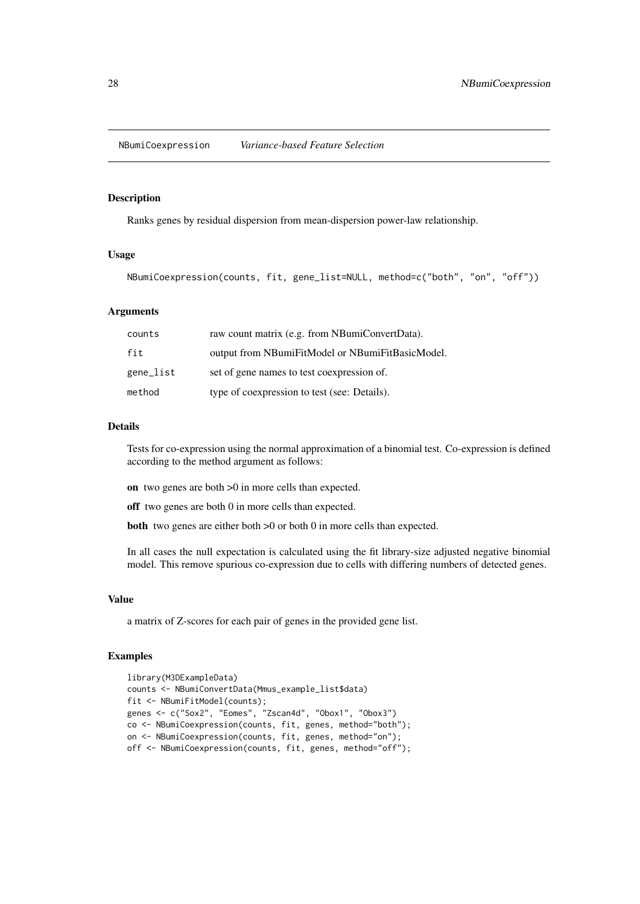<span id="page-27-0"></span>NBumiCoexpression *Variance-based Feature Selection*

#### Description

Ranks genes by residual dispersion from mean-dispersion power-law relationship.

### Usage

```
NBumiCoexpression(counts, fit, gene_list=NULL, method=c("both", "on", "off"))
```
#### Arguments

| counts    | raw count matrix (e.g. from NBumiConvertData).   |
|-----------|--------------------------------------------------|
| fit       | output from NBumiFitModel or NBumiFitBasicModel. |
| gene_list | set of gene names to test coexpression of.       |
| method    | type of coexpression to test (see: Details).     |

#### Details

Tests for co-expression using the normal approximation of a binomial test. Co-expression is defined according to the method argument as follows:

- on two genes are both >0 in more cells than expected.
- off two genes are both 0 in more cells than expected.

**both** two genes are either both  $>0$  or both 0 in more cells than expected.

In all cases the null expectation is calculated using the fit library-size adjusted negative binomial model. This remove spurious co-expression due to cells with differing numbers of detected genes.

#### Value

a matrix of Z-scores for each pair of genes in the provided gene list.

```
library(M3DExampleData)
counts <- NBumiConvertData(Mmus_example_list$data)
fit <- NBumiFitModel(counts);
genes <- c("Sox2", "Eomes", "Zscan4d", "Obox1", "Obox3")
co <- NBumiCoexpression(counts, fit, genes, method="both");
on <- NBumiCoexpression(counts, fit, genes, method="on");
off <- NBumiCoexpression(counts, fit, genes, method="off");
```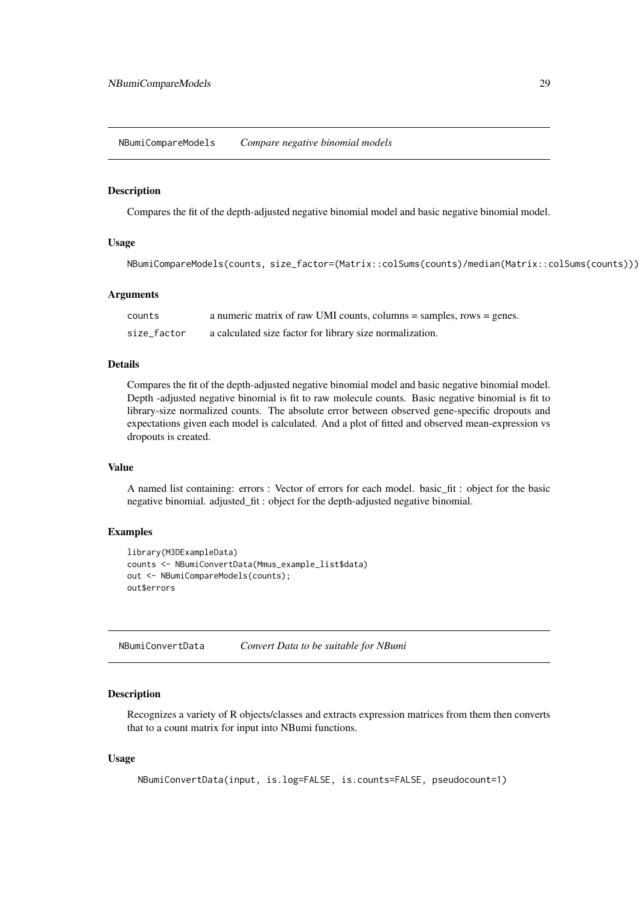<span id="page-28-0"></span>NBumiCompareModels *Compare negative binomial models*

#### Description

Compares the fit of the depth-adjusted negative binomial model and basic negative binomial model.

#### Usage

NBumiCompareModels(counts, size\_factor=(Matrix::colSums(counts)/median(Matrix::colSums(counts))))

#### Arguments

| counts      | a numeric matrix of raw UMI counts, columns = samples, rows = genes. |
|-------------|----------------------------------------------------------------------|
| size_factor | a calculated size factor for library size normalization.             |

#### Details

Compares the fit of the depth-adjusted negative binomial model and basic negative binomial model. Depth -adjusted negative binomial is fit to raw molecule counts. Basic negative binomial is fit to library-size normalized counts. The absolute error between observed gene-specific dropouts and expectations given each model is calculated. And a plot of fitted and observed mean-expression vs dropouts is created.

### Value

A named list containing: errors : Vector of errors for each model. basic\_fit : object for the basic negative binomial. adjusted\_fit : object for the depth-adjusted negative binomial.

### Examples

```
library(M3DExampleData)
counts <- NBumiConvertData(Mmus_example_list$data)
out <- NBumiCompareModels(counts);
out$errors
```
NBumiConvertData *Convert Data to be suitable for NBumi*

#### Description

Recognizes a variety of R objects/classes and extracts expression matrices from them then converts that to a count matrix for input into NBumi functions.

### Usage

NBumiConvertData(input, is.log=FALSE, is.counts=FALSE, pseudocount=1)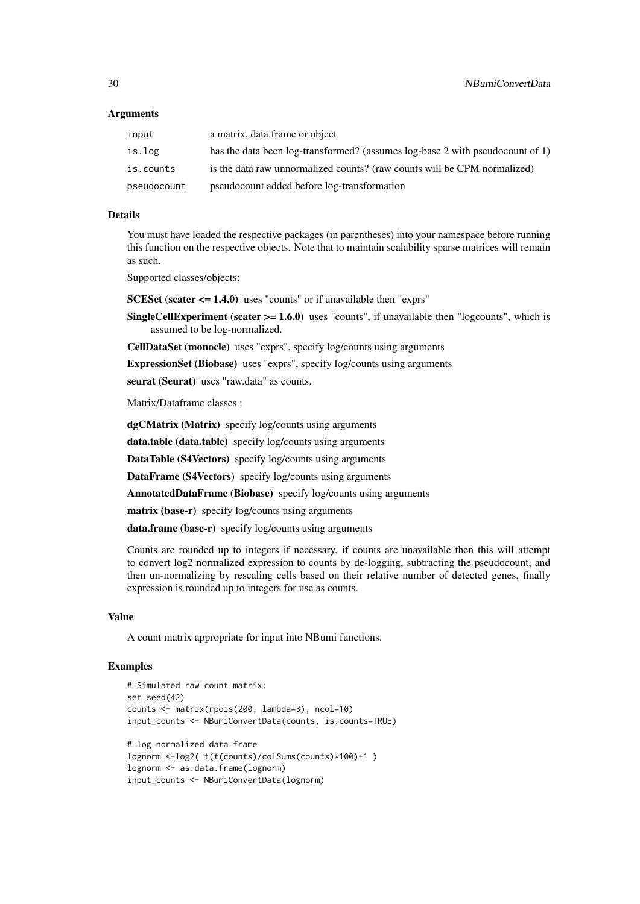#### Arguments

| input       | a matrix, data, frame or object                                               |
|-------------|-------------------------------------------------------------------------------|
| is.log      | has the data been log-transformed? (assumes log-base 2 with pseudocount of 1) |
| is.counts   | is the data raw unnormalized counts? (raw counts will be CPM normalized)      |
| pseudocount | pseudocount added before log-transformation                                   |

#### Details

You must have loaded the respective packages (in parentheses) into your namespace before running this function on the respective objects. Note that to maintain scalability sparse matrices will remain as such.

Supported classes/objects:

SCESet (scater  $\leq$  1.4.0) uses "counts" or if unavailable then "exprs"

**SingleCellExperiment (scater**  $>= 1.6.0$ **)** uses "counts", if unavailable then "logcounts", which is assumed to be log-normalized.

CellDataSet (monocle) uses "exprs", specify log/counts using arguments

ExpressionSet (Biobase) uses "exprs", specify log/counts using arguments

seurat (Seurat) uses "raw.data" as counts.

Matrix/Dataframe classes :

dgCMatrix (Matrix) specify log/counts using arguments data.table (data.table) specify log/counts using arguments DataTable (S4Vectors) specify log/counts using arguments DataFrame (S4Vectors) specify log/counts using arguments AnnotatedDataFrame (Biobase) specify log/counts using arguments matrix (base-r) specify log/counts using arguments data.frame (base-r) specify log/counts using arguments

Counts are rounded up to integers if necessary, if counts are unavailable then this will attempt to convert log2 normalized expression to counts by de-logging, subtracting the pseudocount, and then un-normalizing by rescaling cells based on their relative number of detected genes, finally expression is rounded up to integers for use as counts.

#### Value

A count matrix appropriate for input into NBumi functions.

```
# Simulated raw count matrix:
set.seed(42)
counts <- matrix(rpois(200, lambda=3), ncol=10)
input_counts <- NBumiConvertData(counts, is.counts=TRUE)
# log normalized data frame
lognorm <-log2( t(t(counts)/colSums(counts)*100)+1 )
lognorm <- as.data.frame(lognorm)
input_counts <- NBumiConvertData(lognorm)
```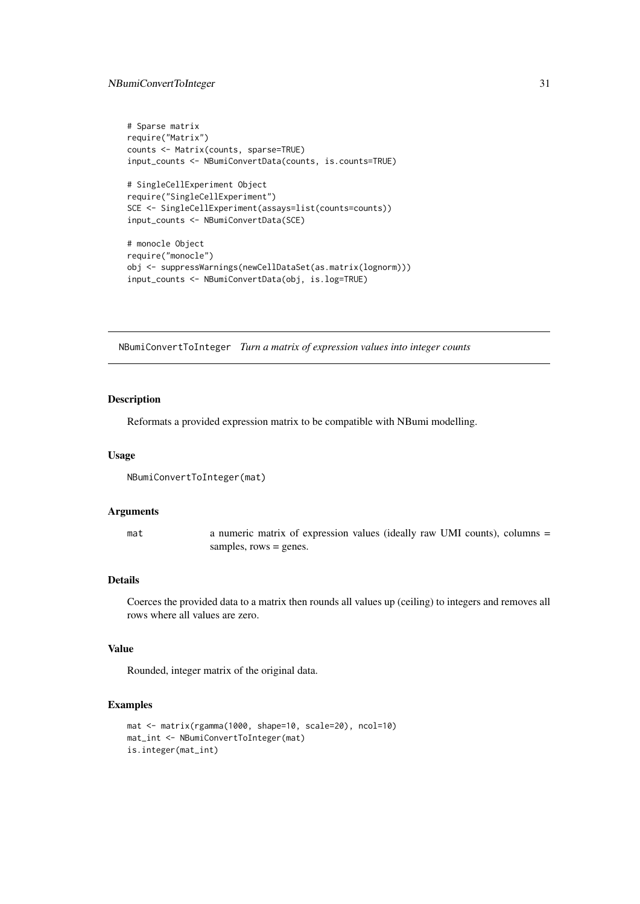#### <span id="page-30-0"></span>NBumiConvertToInteger 31

```
# Sparse matrix
require("Matrix")
counts <- Matrix(counts, sparse=TRUE)
input_counts <- NBumiConvertData(counts, is.counts=TRUE)
# SingleCellExperiment Object
require("SingleCellExperiment")
SCE <- SingleCellExperiment(assays=list(counts=counts))
input_counts <- NBumiConvertData(SCE)
# monocle Object
require("monocle")
obj <- suppressWarnings(newCellDataSet(as.matrix(lognorm)))
input_counts <- NBumiConvertData(obj, is.log=TRUE)
```
NBumiConvertToInteger *Turn a matrix of expression values into integer counts*

#### Description

Reformats a provided expression matrix to be compatible with NBumi modelling.

### Usage

```
NBumiConvertToInteger(mat)
```
### Arguments

mat a numeric matrix of expression values (ideally raw UMI counts), columns = samples, rows = genes.

### Details

Coerces the provided data to a matrix then rounds all values up (ceiling) to integers and removes all rows where all values are zero.

### Value

Rounded, integer matrix of the original data.

```
mat <- matrix(rgamma(1000, shape=10, scale=20), ncol=10)
mat_int <- NBumiConvertToInteger(mat)
is.integer(mat_int)
```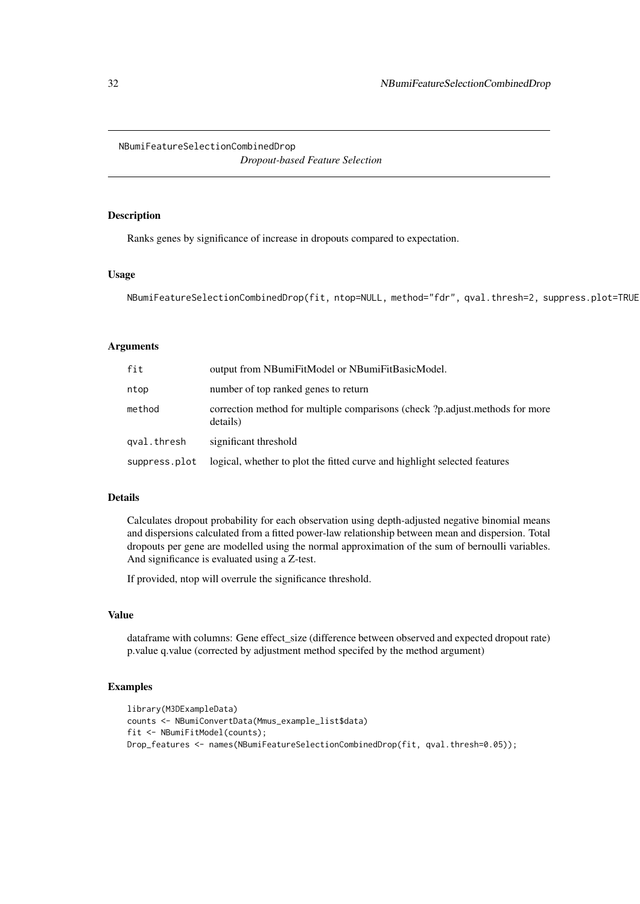<span id="page-31-0"></span>NBumiFeatureSelectionCombinedDrop

*Dropout-based Feature Selection*

#### Description

Ranks genes by significance of increase in dropouts compared to expectation.

#### Usage

NBumiFeatureSelectionCombinedDrop(fit, ntop=NULL, method="fdr", qval.thresh=2, suppress.plot=TRUE)

### Arguments

| fit           | output from NBumiFitModel or NBumiFitBasicModel.                                         |
|---------------|------------------------------------------------------------------------------------------|
| ntop          | number of top ranked genes to return                                                     |
| method        | correction method for multiple comparisons (check ?p.adjust.methods for more<br>details) |
| gval.thresh   | significant threshold                                                                    |
| suppress.plot | logical, whether to plot the fitted curve and highlight selected features                |

### Details

Calculates dropout probability for each observation using depth-adjusted negative binomial means and dispersions calculated from a fitted power-law relationship between mean and dispersion. Total dropouts per gene are modelled using the normal approximation of the sum of bernoulli variables. And significance is evaluated using a Z-test.

If provided, ntop will overrule the significance threshold.

### Value

dataframe with columns: Gene effect\_size (difference between observed and expected dropout rate) p.value q.value (corrected by adjustment method specifed by the method argument)

```
library(M3DExampleData)
counts <- NBumiConvertData(Mmus_example_list$data)
fit <- NBumiFitModel(counts);
Drop_features <- names(NBumiFeatureSelectionCombinedDrop(fit, qval.thresh=0.05));
```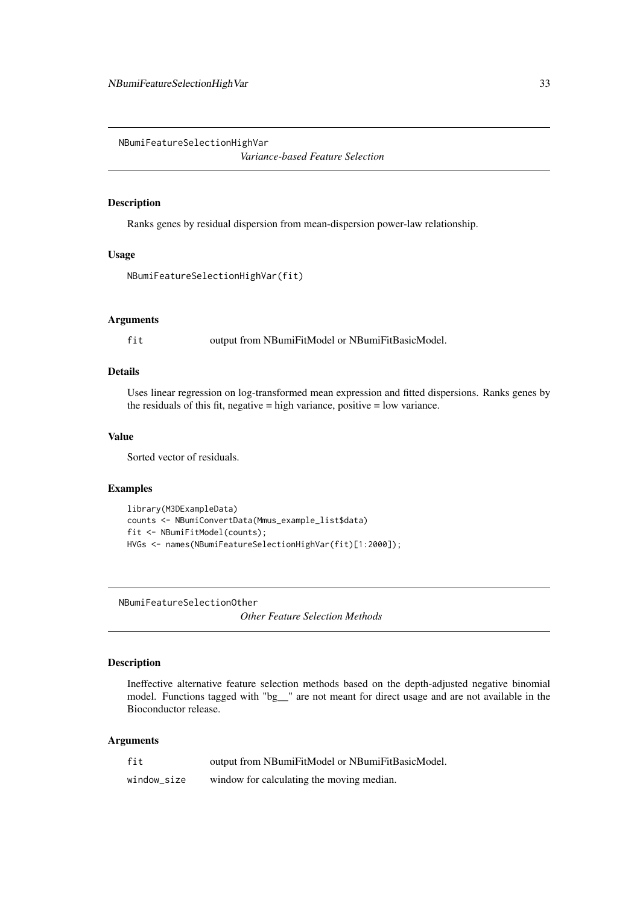<span id="page-32-0"></span>NBumiFeatureSelectionHighVar

*Variance-based Feature Selection*

### Description

Ranks genes by residual dispersion from mean-dispersion power-law relationship.

### Usage

```
NBumiFeatureSelectionHighVar(fit)
```
#### Arguments

fit output from NBumiFitModel or NBumiFitBasicModel.

### Details

Uses linear regression on log-transformed mean expression and fitted dispersions. Ranks genes by the residuals of this fit, negative  $=$  high variance, positive  $=$  low variance.

#### Value

Sorted vector of residuals.

### Examples

```
library(M3DExampleData)
counts <- NBumiConvertData(Mmus_example_list$data)
fit <- NBumiFitModel(counts);
HVGs <- names(NBumiFeatureSelectionHighVar(fit)[1:2000]);
```
NBumiFeatureSelectionOther

*Other Feature Selection Methods*

### Description

Ineffective alternative feature selection methods based on the depth-adjusted negative binomial model. Functions tagged with "bg\_\_" are not meant for direct usage and are not available in the Bioconductor release.

| fit         | output from NBumiFitModel or NBumiFitBasicModel. |
|-------------|--------------------------------------------------|
| window size | window for calculating the moving median.        |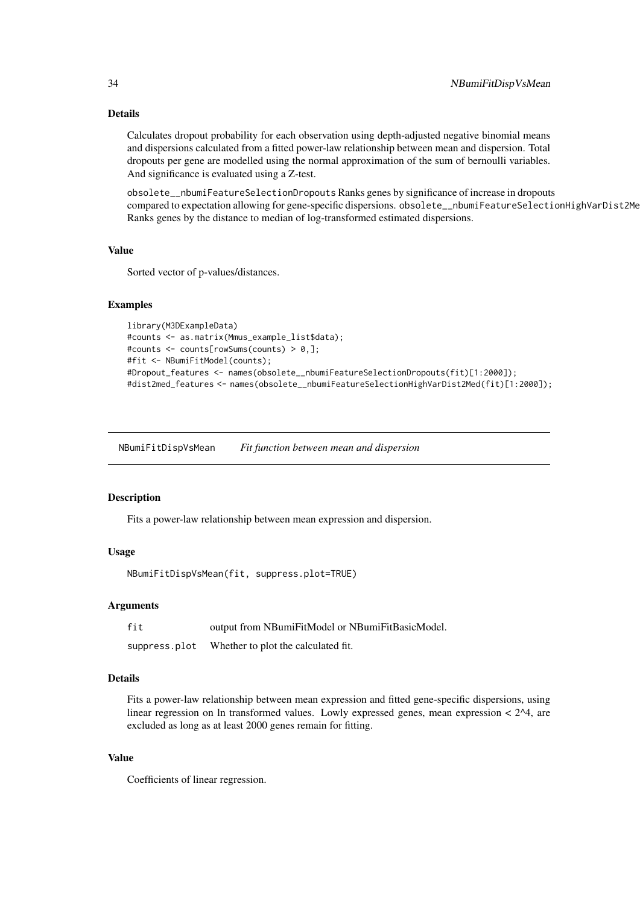Calculates dropout probability for each observation using depth-adjusted negative binomial means and dispersions calculated from a fitted power-law relationship between mean and dispersion. Total dropouts per gene are modelled using the normal approximation of the sum of bernoulli variables. And significance is evaluated using a Z-test.

obsolete\_\_nbumiFeatureSelectionDropouts Ranks genes by significance of increase in dropouts compared to expectation allowing for gene-specific dispersions. obsolete\_\_nbumiFeatureSelectionHighVarDist2Me Ranks genes by the distance to median of log-transformed estimated dispersions.

### Value

Sorted vector of p-values/distances.

#### Examples

```
library(M3DExampleData)
#counts <- as.matrix(Mmus_example_list$data);
#counts <- counts[rowSums(counts) > 0,];
#fit <- NBumiFitModel(counts);
#Dropout_features <- names(obsolete__nbumiFeatureSelectionDropouts(fit)[1:2000]);
#dist2med_features <- names(obsolete__nbumiFeatureSelectionHighVarDist2Med(fit)[1:2000]);
```
NBumiFitDispVsMean *Fit function between mean and dispersion*

#### Description

Fits a power-law relationship between mean expression and dispersion.

#### Usage

```
NBumiFitDispVsMean(fit, suppress.plot=TRUE)
```
### Arguments

fit output from NBumiFitModel or NBumiFitBasicModel.

suppress.plot Whether to plot the calculated fit.

### Details

Fits a power-law relationship between mean expression and fitted gene-specific dispersions, using linear regression on ln transformed values. Lowly expressed genes, mean expression  $\lt 2^{\lambda}4$ , are excluded as long as at least 2000 genes remain for fitting.

### Value

Coefficients of linear regression.

<span id="page-33-0"></span>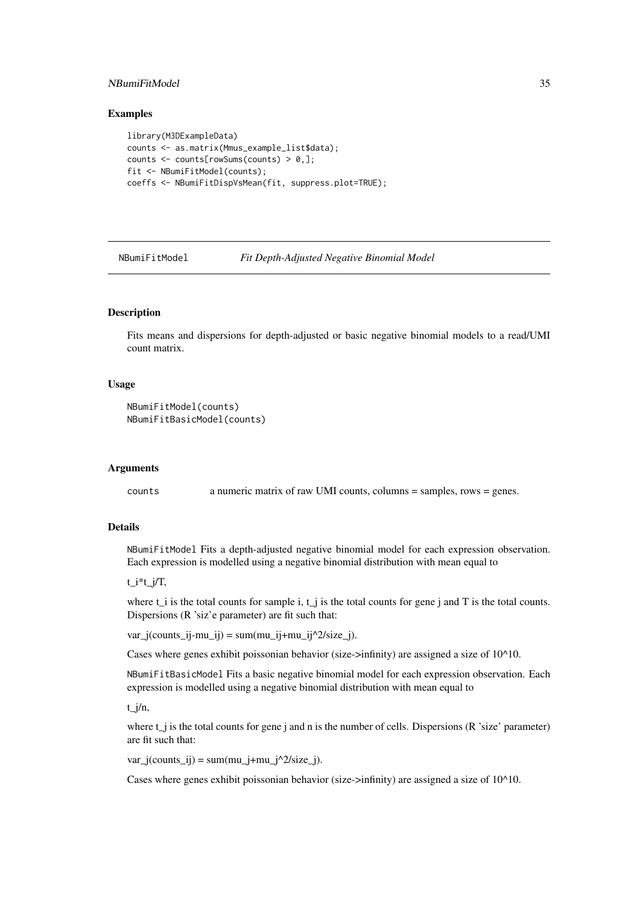#### <span id="page-34-0"></span>NBumiFitModel 35

#### Examples

```
library(M3DExampleData)
counts <- as.matrix(Mmus_example_list$data);
counts <- counts[rowSums(counts) > 0,];
fit <- NBumiFitModel(counts);
coeffs <- NBumiFitDispVsMean(fit, suppress.plot=TRUE);
```
NBumiFitModel *Fit Depth-Adjusted Negative Binomial Model*

#### Description

Fits means and dispersions for depth-adjusted or basic negative binomial models to a read/UMI count matrix.

### Usage

```
NBumiFitModel(counts)
NBumiFitBasicModel(counts)
```
#### Arguments

counts a numeric matrix of raw UMI counts, columns = samples, rows = genes.

### Details

NBumiFitModel Fits a depth-adjusted negative binomial model for each expression observation. Each expression is modelled using a negative binomial distribution with mean equal to

t\_i\*t\_j/T,

where t i is the total counts for sample i, t  $\dot{\ }$  is the total counts for gene j and T is the total counts. Dispersions (R 'siz'e parameter) are fit such that:

 $var_j(counts_i,-mu_j) = sum(mu_i)+mu_j^2/size_j).$ 

Cases where genes exhibit poissonian behavior (size->infinity) are assigned a size of  $10^{\text{A}}10$ .

NBumiFitBasicModel Fits a basic negative binomial model for each expression observation. Each expression is modelled using a negative binomial distribution with mean equal to

t\_j/n,

where  $t$  is the total counts for gene j and n is the number of cells. Dispersions (R 'size' parameter) are fit such that:

 $var_j(counts_i) = sum(mu_j+mu_j^2/size_j).$ 

Cases where genes exhibit poissonian behavior (size->infinity) are assigned a size of 10^10.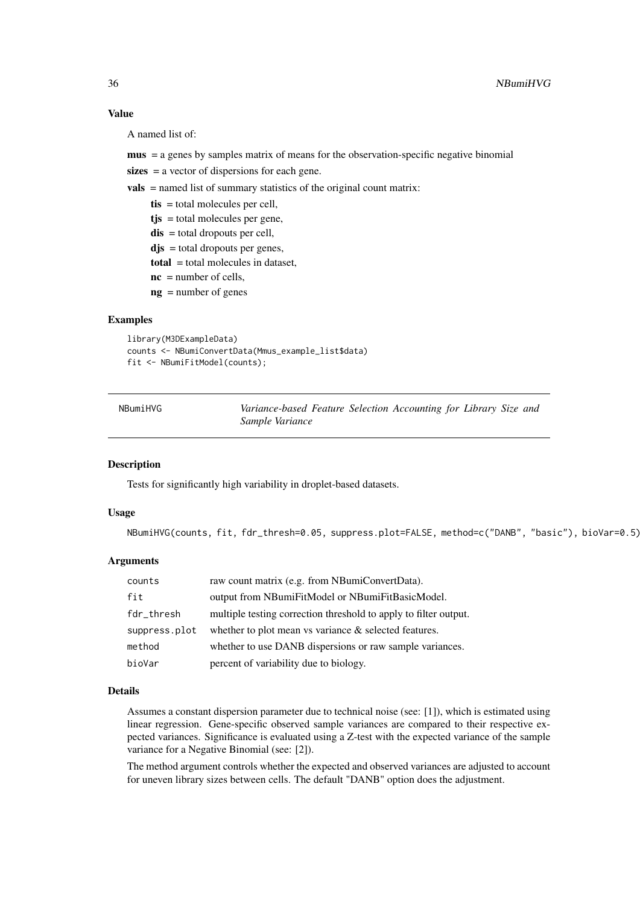### Value

A named list of:

mus = a genes by samples matrix of means for the observation-specific negative binomial

sizes = a vector of dispersions for each gene.

vals = named list of summary statistics of the original count matrix:

- tis = total molecules per cell,
- $t$ js = total molecules per gene,
- $dis = total$  dropouts per cell,
- $\text{d}\mathbf{j}\text{s} = \text{total}$  dropouts per genes,
- total = total molecules in dataset,
- $nc = number of cells,$
- ng = number of genes

#### Examples

```
library(M3DExampleData)
counts <- NBumiConvertData(Mmus_example_list$data)
fit <- NBumiFitModel(counts);
```
NBumiHVG *Variance-based Feature Selection Accounting for Library Size and Sample Variance*

### Description

Tests for significantly high variability in droplet-based datasets.

### Usage

NBumiHVG(counts, fit, fdr\_thresh=0.05, suppress.plot=FALSE, method=c("DANB", "basic"), bioVar=0.5)

### Arguments

| counts        | raw count matrix (e.g. from NBumiConvertData).                   |
|---------------|------------------------------------------------------------------|
| fit           | output from NBumiFitModel or NBumiFitBasicModel.                 |
| fdr_thresh    | multiple testing correction threshold to apply to filter output. |
| suppress.plot | whether to plot mean vs variance & selected features.            |
| method        | whether to use DANB dispersions or raw sample variances.         |
| bioVar        | percent of variability due to biology.                           |

#### Details

Assumes a constant dispersion parameter due to technical noise (see: [1]), which is estimated using linear regression. Gene-specific observed sample variances are compared to their respective expected variances. Significance is evaluated using a Z-test with the expected variance of the sample variance for a Negative Binomial (see: [2]).

The method argument controls whether the expected and observed variances are adjusted to account for uneven library sizes between cells. The default "DANB" option does the adjustment.

<span id="page-35-0"></span>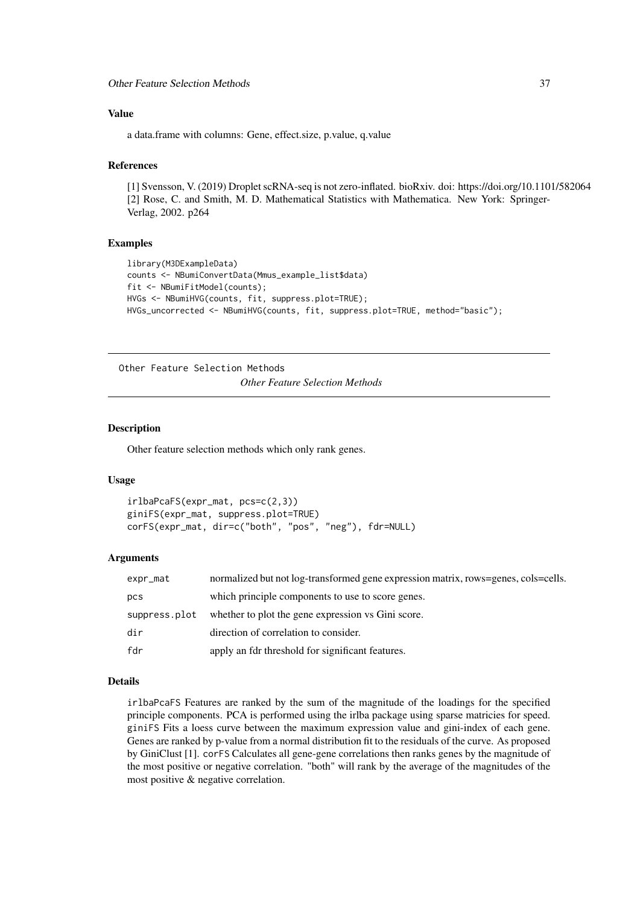<span id="page-36-0"></span>Other Feature Selection Methods 37

### Value

a data.frame with columns: Gene, effect.size, p.value, q.value

#### References

[1] Svensson, V. (2019) Droplet scRNA-seq is not zero-inflated. bioRxiv. doi: https://doi.org/10.1101/582064 [2] Rose, C. and Smith, M. D. Mathematical Statistics with Mathematica. New York: Springer-Verlag, 2002. p264

#### Examples

```
library(M3DExampleData)
counts <- NBumiConvertData(Mmus_example_list$data)
fit <- NBumiFitModel(counts);
HVGs <- NBumiHVG(counts, fit, suppress.plot=TRUE);
HVGs_uncorrected <- NBumiHVG(counts, fit, suppress.plot=TRUE, method="basic");
```
Other Feature Selection Methods *Other Feature Selection Methods*

### Description

Other feature selection methods which only rank genes.

### Usage

```
irlbaPcaFS(expr_mat, pcs=c(2,3))
giniFS(expr_mat, suppress.plot=TRUE)
corFS(expr_mat, dir=c("both", "pos", "neg"), fdr=NULL)
```
### Arguments

| expr_mat      | normalized but not log-transformed gene expression matrix, rows=genes, cols=cells. |
|---------------|------------------------------------------------------------------------------------|
| pcs           | which principle components to use to score genes.                                  |
| suppress.plot | whether to plot the gene expression vs Gini score.                                 |
| dir           | direction of correlation to consider.                                              |
| fdr           | apply an fdr threshold for significant features.                                   |

### Details

irlbaPcaFS Features are ranked by the sum of the magnitude of the loadings for the specified principle components. PCA is performed using the irlba package using sparse matricies for speed. giniFS Fits a loess curve between the maximum expression value and gini-index of each gene. Genes are ranked by p-value from a normal distribution fit to the residuals of the curve. As proposed by GiniClust [1]. corFS Calculates all gene-gene correlations then ranks genes by the magnitude of the most positive or negative correlation. "both" will rank by the average of the magnitudes of the most positive & negative correlation.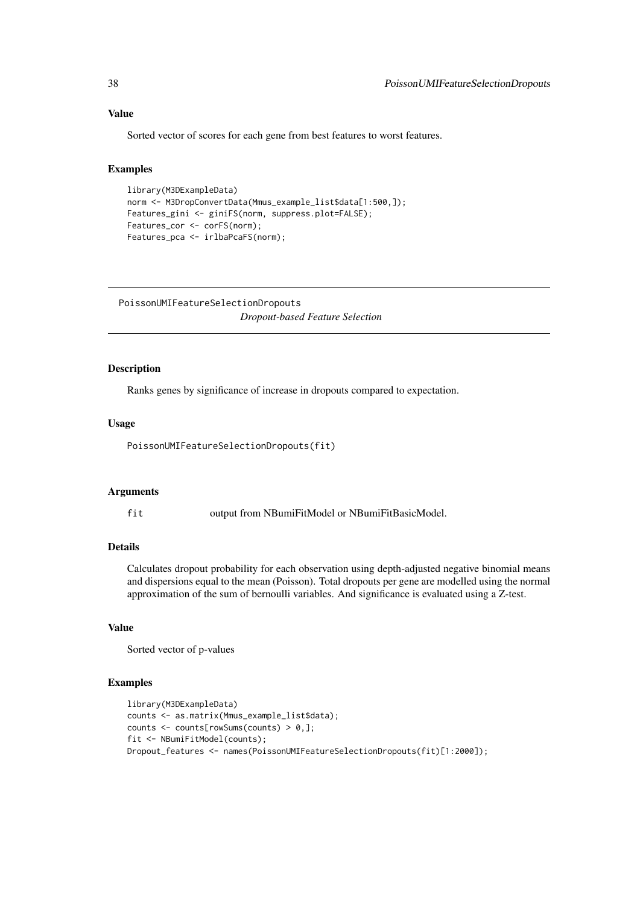### Value

Sorted vector of scores for each gene from best features to worst features.

#### Examples

```
library(M3DExampleData)
norm <- M3DropConvertData(Mmus_example_list$data[1:500,]);
Features_gini <- giniFS(norm, suppress.plot=FALSE);
Features_cor <- corFS(norm);
Features_pca <- irlbaPcaFS(norm);
```
PoissonUMIFeatureSelectionDropouts *Dropout-based Feature Selection*

### Description

Ranks genes by significance of increase in dropouts compared to expectation.

#### Usage

PoissonUMIFeatureSelectionDropouts(fit)

### Arguments

fit output from NBumiFitModel or NBumiFitBasicModel.

### Details

Calculates dropout probability for each observation using depth-adjusted negative binomial means and dispersions equal to the mean (Poisson). Total dropouts per gene are modelled using the normal approximation of the sum of bernoulli variables. And significance is evaluated using a Z-test.

### Value

Sorted vector of p-values

```
library(M3DExampleData)
counts <- as.matrix(Mmus_example_list$data);
counts \leq counts[rowSums(counts) > 0,];
fit <- NBumiFitModel(counts);
Dropout_features <- names(PoissonUMIFeatureSelectionDropouts(fit)[1:2000]);
```
<span id="page-37-0"></span>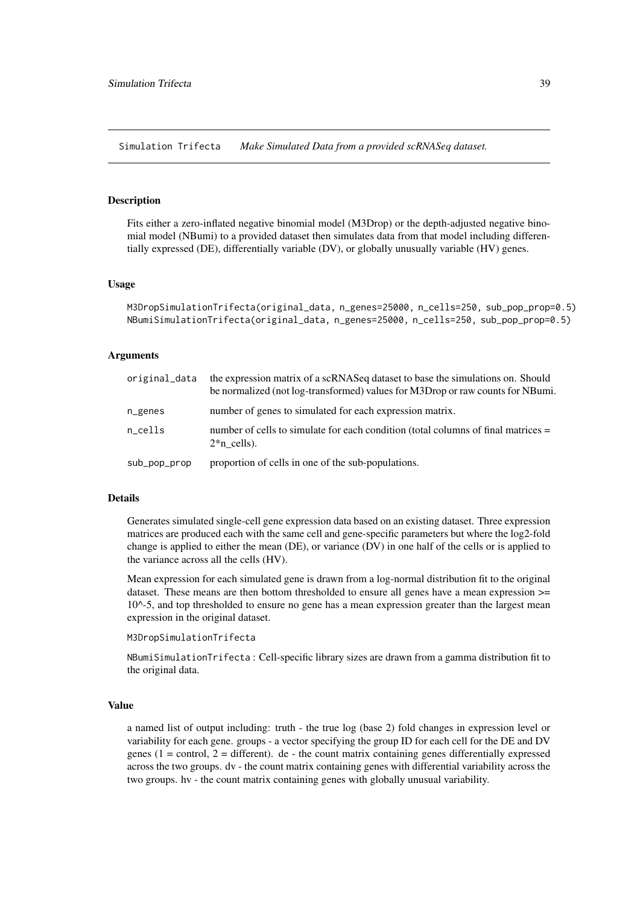<span id="page-38-0"></span>Simulation Trifecta *Make Simulated Data from a provided scRNASeq dataset.*

#### Description

Fits either a zero-inflated negative binomial model (M3Drop) or the depth-adjusted negative binomial model (NBumi) to a provided dataset then simulates data from that model including differentially expressed (DE), differentially variable (DV), or globally unusually variable (HV) genes.

#### Usage

```
M3DropSimulationTrifecta(original_data, n_genes=25000, n_cells=250, sub_pop_prop=0.5)
NBumiSimulationTrifecta(original_data, n_genes=25000, n_cells=250, sub_pop_prop=0.5)
```
#### Arguments

| original_data | the expression matrix of a scRNASeq dataset to base the simulations on. Should<br>be normalized (not log-transformed) values for M3Drop or raw counts for NBumi. |
|---------------|------------------------------------------------------------------------------------------------------------------------------------------------------------------|
| $n$ genes     | number of genes to simulated for each expression matrix.                                                                                                         |
| n_cells       | number of cells to simulate for each condition (total columns of final matrices =<br>$2^*n$ cells).                                                              |
| sub_pop_prop  | proportion of cells in one of the sub-populations.                                                                                                               |

### Details

Generates simulated single-cell gene expression data based on an existing dataset. Three expression matrices are produced each with the same cell and gene-specific parameters but where the log2-fold change is applied to either the mean (DE), or variance (DV) in one half of the cells or is applied to the variance across all the cells (HV).

Mean expression for each simulated gene is drawn from a log-normal distribution fit to the original dataset. These means are then bottom thresholded to ensure all genes have a mean expression >= 10^-5, and top thresholded to ensure no gene has a mean expression greater than the largest mean expression in the original dataset.

M3DropSimulationTrifecta

NBumiSimulationTrifecta : Cell-specific library sizes are drawn from a gamma distribution fit to the original data.

#### Value

a named list of output including: truth - the true log (base 2) fold changes in expression level or variability for each gene. groups - a vector specifying the group ID for each cell for the DE and DV genes ( $1 =$  control,  $2 =$  different). de - the count matrix containing genes differentially expressed across the two groups. dv - the count matrix containing genes with differential variability across the two groups. hv - the count matrix containing genes with globally unusual variability.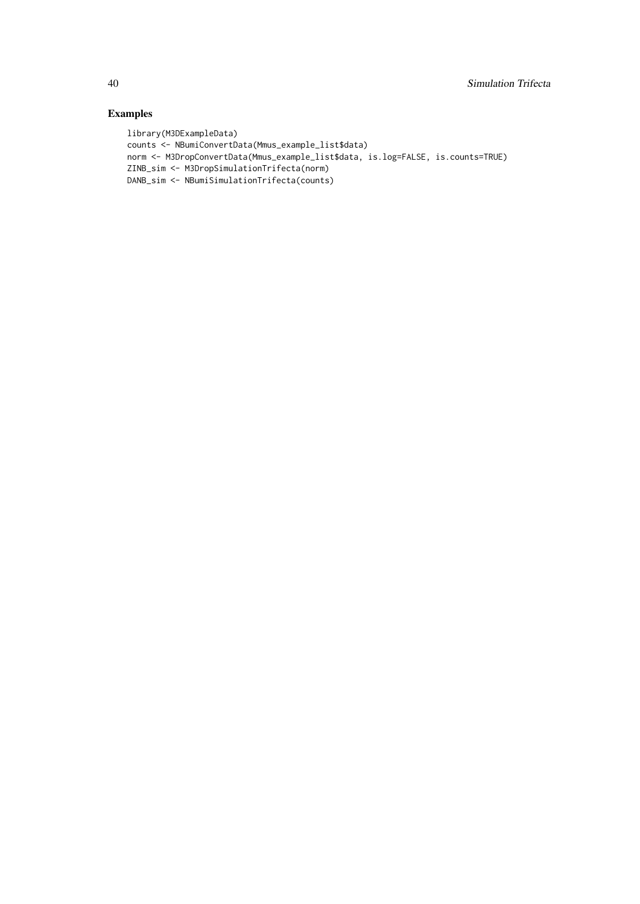```
library(M3DExampleData)
counts <- NBumiConvertData(Mmus_example_list$data)
norm <- M3DropConvertData(Mmus_example_list$data, is.log=FALSE, is.counts=TRUE)
ZINB_sim <- M3DropSimulationTrifecta(norm)
DANB_sim <- NBumiSimulationTrifecta(counts)
```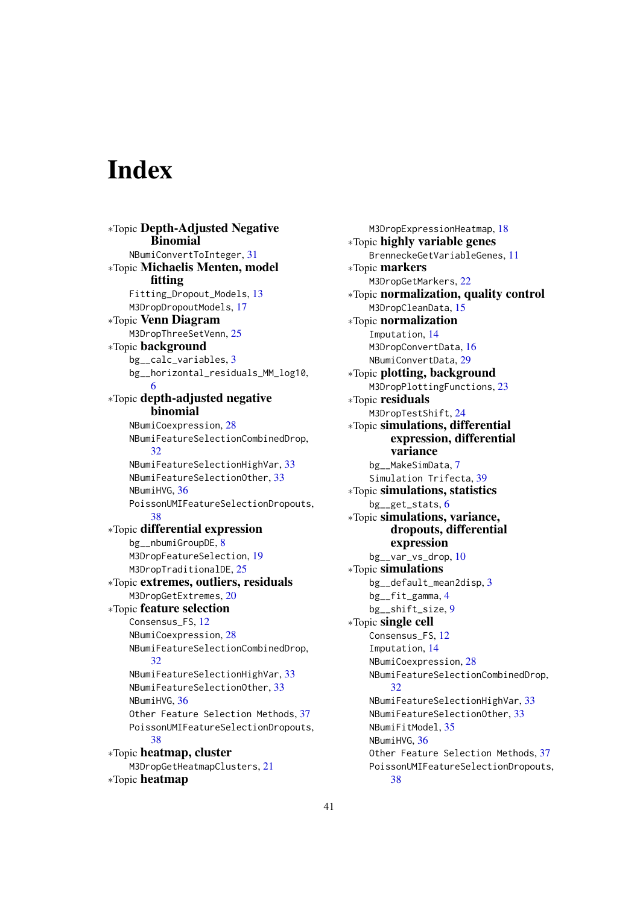# <span id="page-40-0"></span>Index

∗Topic Depth-Adjusted Negative **Binomial** NBumiConvertToInteger, [31](#page-30-0) ∗Topic Michaelis Menten, model fitting Fitting\_Dropout\_Models, [13](#page-12-0) M3DropDropoutModels, [17](#page-16-0) ∗Topic Venn Diagram M3DropThreeSetVenn, [25](#page-24-0) ∗Topic background bg\_\_calc\_variables, [3](#page-2-0) bg\_\_horizontal\_residuals\_MM\_log10, [6](#page-5-0) ∗Topic depth-adjusted negative binomial NBumiCoexpression, [28](#page-27-0) NBumiFeatureSelectionCombinedDrop, [32](#page-31-0) NBumiFeatureSelectionHighVar, [33](#page-32-0) NBumiFeatureSelectionOther, [33](#page-32-0) NBumiHVG, [36](#page-35-0) PoissonUMIFeatureSelectionDropouts, [38](#page-37-0) ∗Topic differential expression bg\_\_nbumiGroupDE, [8](#page-7-0) M3DropFeatureSelection, [19](#page-18-0) M3DropTraditionalDE, [25](#page-24-0) ∗Topic extremes, outliers, residuals M3DropGetExtremes, [20](#page-19-0) ∗Topic feature selection Consensus\_FS, [12](#page-11-0) NBumiCoexpression, [28](#page-27-0) NBumiFeatureSelectionCombinedDrop, [32](#page-31-0) NBumiFeatureSelectionHighVar, [33](#page-32-0) NBumiFeatureSelectionOther, [33](#page-32-0) NBumiHVG, [36](#page-35-0) Other Feature Selection Methods, [37](#page-36-0) PoissonUMIFeatureSelectionDropouts, [38](#page-37-0) ∗Topic heatmap, cluster M3DropGetHeatmapClusters, [21](#page-20-0) ∗Topic heatmap

M3DropExpressionHeatmap, [18](#page-17-0) ∗Topic highly variable genes BrenneckeGetVariableGenes, [11](#page-10-0) ∗Topic markers M3DropGetMarkers, [22](#page-21-0) ∗Topic normalization, quality control M3DropCleanData, [15](#page-14-0) ∗Topic normalization Imputation, [14](#page-13-0) M3DropConvertData, [16](#page-15-0) NBumiConvertData, [29](#page-28-0) ∗Topic plotting, background M3DropPlottingFunctions, [23](#page-22-0) ∗Topic residuals M3DropTestShift, [24](#page-23-0) ∗Topic simulations, differential expression, differential variance bg\_\_MakeSimData, [7](#page-6-0) Simulation Trifecta, [39](#page-38-0) ∗Topic simulations, statistics bg\_\_get\_stats, [6](#page-5-0) ∗Topic simulations, variance, dropouts, differential expression bg\_\_var\_vs\_drop, [10](#page-9-0) ∗Topic simulations bg\_\_default\_mean2disp, [3](#page-2-0) bg\_\_fit\_gamma, [4](#page-3-0) bg\_\_shift\_size, [9](#page-8-0) ∗Topic single cell Consensus\_FS, [12](#page-11-0) Imputation, [14](#page-13-0) NBumiCoexpression, [28](#page-27-0) NBumiFeatureSelectionCombinedDrop, [32](#page-31-0) NBumiFeatureSelectionHighVar, [33](#page-32-0) NBumiFeatureSelectionOther, [33](#page-32-0) NBumiFitModel, [35](#page-34-0) NBumiHVG, [36](#page-35-0) Other Feature Selection Methods, [37](#page-36-0) PoissonUMIFeatureSelectionDropouts, [38](#page-37-0)